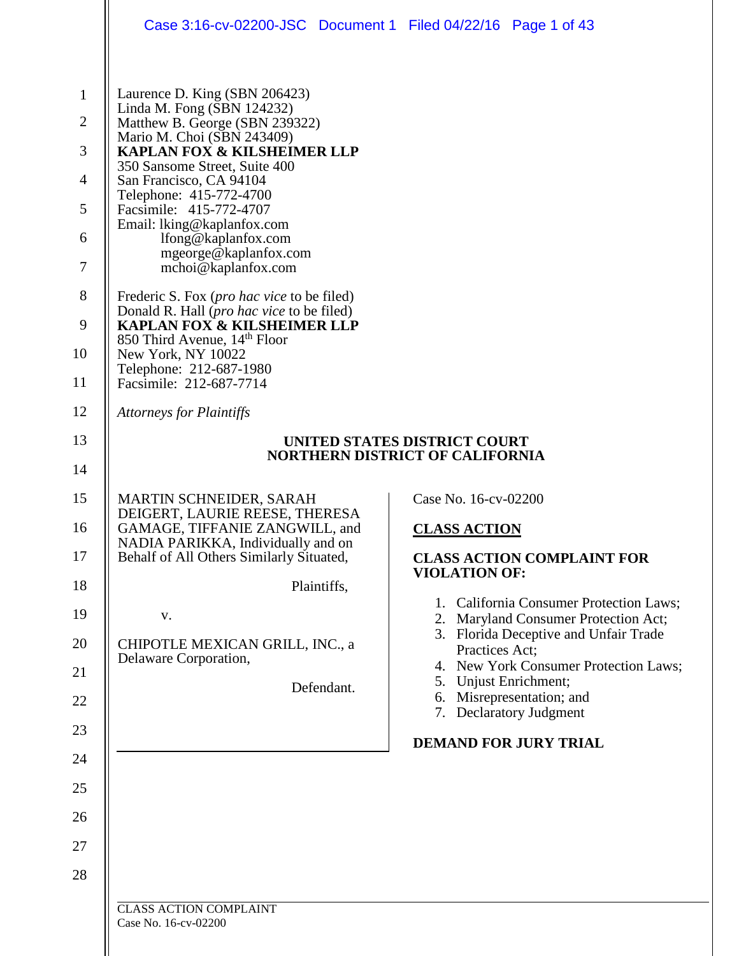|                                                                                | Case 3:16-cv-02200-JSC Document 1 Filed 04/22/16 Page 1 of 43                                                                                                                                                                                                                                                                                                                                                                                                                                                                                                                      |                                                                                                                                                                                                                                                                                                 |  |
|--------------------------------------------------------------------------------|------------------------------------------------------------------------------------------------------------------------------------------------------------------------------------------------------------------------------------------------------------------------------------------------------------------------------------------------------------------------------------------------------------------------------------------------------------------------------------------------------------------------------------------------------------------------------------|-------------------------------------------------------------------------------------------------------------------------------------------------------------------------------------------------------------------------------------------------------------------------------------------------|--|
| $\mathbf{1}$<br>$\overline{2}$<br>3<br>$\overline{4}$<br>5<br>6<br>7<br>8<br>9 | Laurence D. King (SBN 206423)<br>Linda M. Fong (SBN 124232)<br>Matthew B. George (SBN 239322)<br>Mario M. Choi (SBN 243409)<br>KAPLAN FOX & KILSHEIMER LLP<br>350 Sansome Street, Suite 400<br>San Francisco, CA 94104<br>Telephone: 415-772-4700<br>Facsimile: 415-772-4707<br>Email: lking@kaplanfox.com<br>lfong@kaplanfox.com<br>mgeorge@kaplanfox.com<br>mchoi@kaplanfox.com<br>Frederic S. Fox ( <i>pro hac vice</i> to be filed)<br>Donald R. Hall ( <i>pro hac vice</i> to be filed)<br><b>KAPLAN FOX &amp; KILSHEIMER LLP</b><br>850 Third Avenue, 14 <sup>th</sup> Floor |                                                                                                                                                                                                                                                                                                 |  |
| 10<br>11                                                                       | New York, NY 10022<br>Telephone: 212-687-1980<br>Facsimile: 212-687-7714                                                                                                                                                                                                                                                                                                                                                                                                                                                                                                           |                                                                                                                                                                                                                                                                                                 |  |
| 12                                                                             | <b>Attorneys for Plaintiffs</b>                                                                                                                                                                                                                                                                                                                                                                                                                                                                                                                                                    |                                                                                                                                                                                                                                                                                                 |  |
| 13                                                                             | UNITED STATES DISTRICT COURT                                                                                                                                                                                                                                                                                                                                                                                                                                                                                                                                                       |                                                                                                                                                                                                                                                                                                 |  |
| 14                                                                             | <b>NORTHERN DISTRICT OF CALIFORNIA</b>                                                                                                                                                                                                                                                                                                                                                                                                                                                                                                                                             |                                                                                                                                                                                                                                                                                                 |  |
| 15<br>16<br>17<br>18<br>19<br>20<br>21                                         | MARTIN SCHNEIDER, SARAH<br>DEIGERT, LAURIE REESE, THERESA<br>GAMAGE, TIFFANIE ZANGWILL, and<br>NADIA PARIKKA, Individually and on<br>Behalf of All Others Similarly Situated,<br>Plaintiffs,<br>V.<br>CHIPOTLE MEXICAN GRILL, INC., a<br>Delaware Corporation,                                                                                                                                                                                                                                                                                                                     | Case No. 16-cv-02200<br><u>CLASS ACTION</u><br><b>CLASS ACTION COMPLAINT FOR</b><br><b>VIOLATION OF:</b><br>1. California Consumer Protection Laws;<br>2. Maryland Consumer Protection Act;<br>3. Florida Deceptive and Unfair Trade<br>Practices Act;<br>4. New York Consumer Protection Laws; |  |
| 22                                                                             | Defendant.                                                                                                                                                                                                                                                                                                                                                                                                                                                                                                                                                                         | 5. Unjust Enrichment;<br>Misrepresentation; and<br>6.<br>7. Declaratory Judgment                                                                                                                                                                                                                |  |
| 23                                                                             |                                                                                                                                                                                                                                                                                                                                                                                                                                                                                                                                                                                    | <b>DEMAND FOR JURY TRIAL</b>                                                                                                                                                                                                                                                                    |  |
| 24                                                                             |                                                                                                                                                                                                                                                                                                                                                                                                                                                                                                                                                                                    |                                                                                                                                                                                                                                                                                                 |  |
| 25                                                                             |                                                                                                                                                                                                                                                                                                                                                                                                                                                                                                                                                                                    |                                                                                                                                                                                                                                                                                                 |  |
| 26<br>27                                                                       |                                                                                                                                                                                                                                                                                                                                                                                                                                                                                                                                                                                    |                                                                                                                                                                                                                                                                                                 |  |
| 28                                                                             |                                                                                                                                                                                                                                                                                                                                                                                                                                                                                                                                                                                    |                                                                                                                                                                                                                                                                                                 |  |
|                                                                                | <b>CLASS ACTION COMPLAINT</b>                                                                                                                                                                                                                                                                                                                                                                                                                                                                                                                                                      |                                                                                                                                                                                                                                                                                                 |  |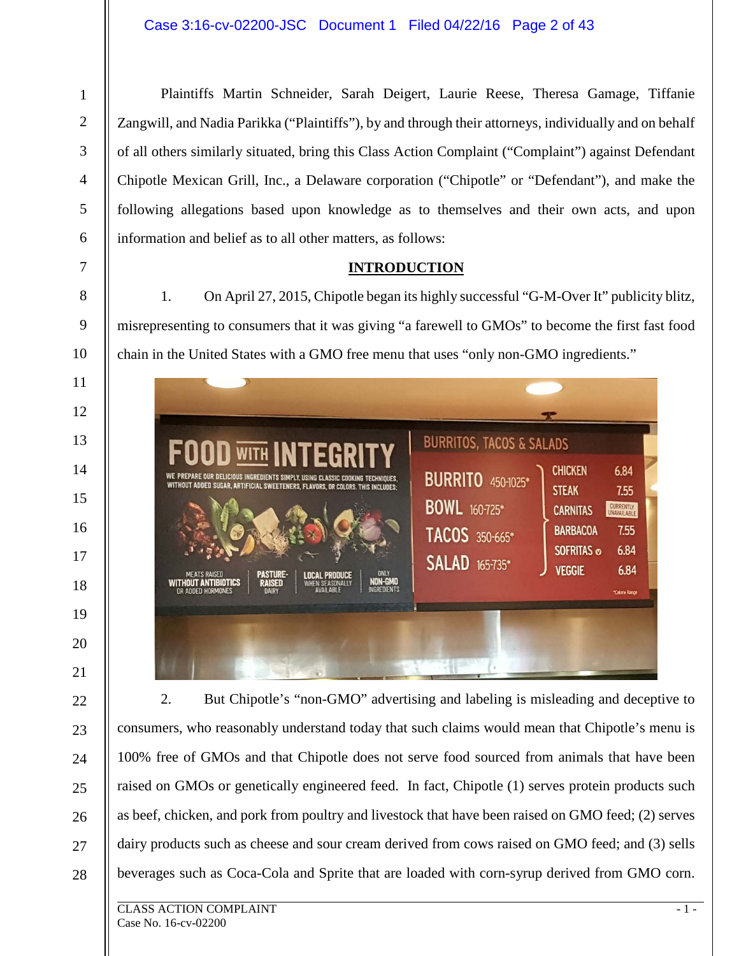1

Plaintiffs Martin Schneider, Sarah Deigert, Laurie Reese, Theresa Gamage, Tiffanie Zangwill, and Nadia Parikka ("Plaintiffs"), by and through their attorneys, individually and on behalf of all others similarly situated, bring this Class Action Complaint ("Complaint") against Defendant Chipotle Mexican Grill, Inc., a Delaware corporation ("Chipotle" or "Defendant"), and make the following allegations based upon knowledge as to themselves and their own acts, and upon information and belief as to all other matters, as follows:

### **INTRODUCTION**

1. On April 27, 2015, Chipotle began its highly successful "G-M-Over It" publicity blitz, misrepresenting to consumers that it was giving "a farewell to GMOs" to become the first fast food chain in the United States with a GMO free menu that uses "only non-GMO ingredients."

| <b>FOOD WITH INTEGRITY</b><br>WE PREPARE OUR DELICIOUS INGREDIENTS SIMPLY, USING CLASSIC COOKING TECHNIQUES,<br>WITHOUT ADDED SUGAR, ARTIFICIAL SWEETENERS, FLAVORS, OR COLORS. THIS INCLUDES:<br>ONLY<br><b>PASTURE-</b><br><b>MEATS RAISED</b><br><b>LOCAL PRODUCE</b><br>NON-GMO<br><b>WITHOUT ANTIBIOTICS</b><br><b>RAISED</b><br>WHEN SEASONALLY<br><b>INGREDIENTS</b><br><b>AVAILABLE</b><br>OR ADDED HORMONES<br><b>DAIRY</b> | <b>BURRITOS, TACOS &amp; SALADS</b><br><b>BURRITO</b> 450-1025*<br><b>BOWL</b> 160-725*<br>TACOS 350-665*<br><b>SALAD</b> 165-735* | <b>CHICKEN</b><br><b>STEAK</b><br><b>CARNITAS</b><br><b>BARBACOA</b><br><b>SOFRITAS ®</b><br><b>VEGGIE</b> | 6.84<br>7.55<br><b>CURRENTLY</b><br>UNAVAILABLE<br>7.55<br>6.84<br>6.84<br>*Calorie Range |
|--------------------------------------------------------------------------------------------------------------------------------------------------------------------------------------------------------------------------------------------------------------------------------------------------------------------------------------------------------------------------------------------------------------------------------------|------------------------------------------------------------------------------------------------------------------------------------|------------------------------------------------------------------------------------------------------------|-------------------------------------------------------------------------------------------|
|--------------------------------------------------------------------------------------------------------------------------------------------------------------------------------------------------------------------------------------------------------------------------------------------------------------------------------------------------------------------------------------------------------------------------------------|------------------------------------------------------------------------------------------------------------------------------------|------------------------------------------------------------------------------------------------------------|-------------------------------------------------------------------------------------------|

2. But Chipotle's "non-GMO" advertising and labeling is misleading and deceptive to consumers, who reasonably understand today that such claims would mean that Chipotle's menu is 100% free of GMOs and that Chipotle does not serve food sourced from animals that have been raised on GMOs or genetically engineered feed. In fact, Chipotle (1) serves protein products such as beef, chicken, and pork from poultry and livestock that have been raised on GMO feed; (2) serves dairy products such as cheese and sour cream derived from cows raised on GMO feed; and (3) sells beverages such as Coca-Cola and Sprite that are loaded with corn-syrup derived from GMO corn.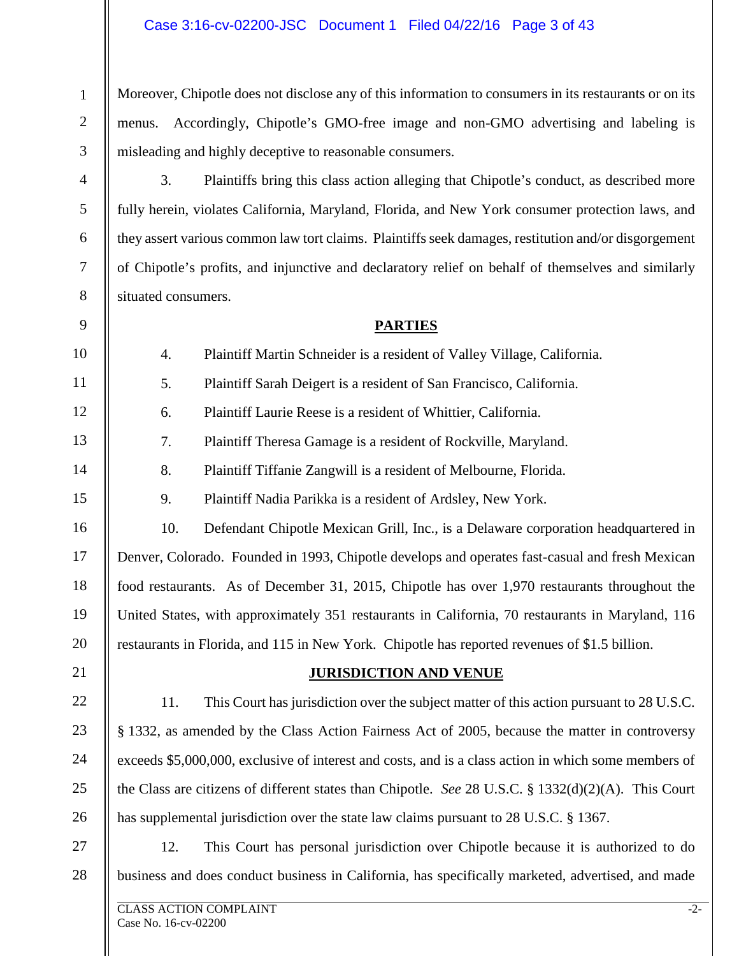#### Case 3:16-cv-02200-JSC Document 1 Filed 04/22/16 Page 3 of 43

Moreover, Chipotle does not disclose any of this information to consumers in its restaurants or on its menus. Accordingly, Chipotle's GMO-free image and non-GMO advertising and labeling is misleading and highly deceptive to reasonable consumers.

3. Plaintiffs bring this class action alleging that Chipotle's conduct, as described more fully herein, violates California, Maryland, Florida, and New York consumer protection laws, and they assert various common law tort claims. Plaintiffs seek damages, restitution and/or disgorgement of Chipotle's profits, and injunctive and declaratory relief on behalf of themselves and similarly situated consumers.

#### **PARTIES**

| 10 | 4.  | Plaintiff Martin Schneider is a resident of Valley Village, California.                              |
|----|-----|------------------------------------------------------------------------------------------------------|
| 11 | 5.  | Plaintiff Sarah Deigert is a resident of San Francisco, California.                                  |
| 12 | 6.  | Plaintiff Laurie Reese is a resident of Whittier, California.                                        |
| 13 | 7.  | Plaintiff Theresa Gamage is a resident of Rockville, Maryland.                                       |
| 14 | 8.  | Plaintiff Tiffanie Zangwill is a resident of Melbourne, Florida.                                     |
| 15 | 9.  | Plaintiff Nadia Parikka is a resident of Ardsley, New York.                                          |
| 16 | 10. | Defendant Chipotle Mexican Grill, Inc., is a Delaware corporation headquartered in                   |
| 17 |     | Denver, Colorado. Founded in 1993, Chipotle develops and operates fast-casual and fresh Mexican      |
| 18 |     | food restaurants. As of December 31, 2015, Chipotle has over 1,970 restaurants throughout the        |
| 19 |     | United States, with approximately 351 restaurants in California, 70 restaurants in Maryland, 116     |
| 20 |     | restaurants in Florida, and 115 in New York. Chipotle has reported revenues of \$1.5 billion.        |
| 21 |     | <b>JURISDICTION AND VENUE</b>                                                                        |
| 22 | 11. | This Court has jurisdiction over the subject matter of this action pursuant to 28 U.S.C.             |
| 23 |     | § 1332, as amended by the Class Action Fairness Act of 2005, because the matter in controversy       |
| 24 |     | exceeds \$5,000,000, exclusive of interest and costs, and is a class action in which some members of |
|    |     |                                                                                                      |

26 27 has supplemental jurisdiction over the state law claims pursuant to 28 U.S.C. § 1367. 12. This Court has personal jurisdiction over Chipotle because it is authorized to do

28 business and does conduct business in California, has specifically marketed, advertised, and made

the Class are citizens of different states than Chipotle. *See* 28 U.S.C. § 1332(d)(2)(A). This Court

1

2

3

4

5

6

7

8

9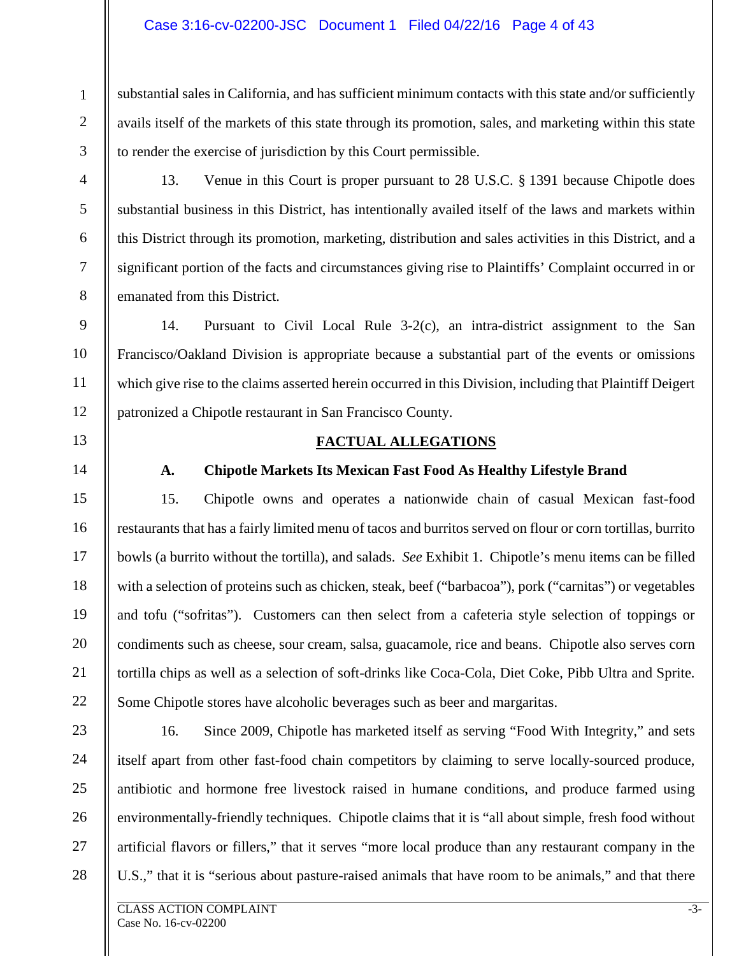#### Case 3:16-cv-02200-JSC Document 1 Filed 04/22/16 Page 4 of 43

substantial sales in California, and has sufficient minimum contacts with this state and/or sufficiently avails itself of the markets of this state through its promotion, sales, and marketing within this state to render the exercise of jurisdiction by this Court permissible.

3 4

5

6

7

8

9

10

11

12

1

2

13. Venue in this Court is proper pursuant to 28 U.S.C. § 1391 because Chipotle does substantial business in this District, has intentionally availed itself of the laws and markets within this District through its promotion, marketing, distribution and sales activities in this District, and a significant portion of the facts and circumstances giving rise to Plaintiffs' Complaint occurred in or emanated from this District.

14. Pursuant to Civil Local Rule 3-2(c), an intra-district assignment to the San Francisco/Oakland Division is appropriate because a substantial part of the events or omissions which give rise to the claims asserted herein occurred in this Division, including that Plaintiff Deigert patronized a Chipotle restaurant in San Francisco County.

13

14

15

16

17

18

19

20

21

22

#### **FACTUAL ALLEGATIONS**

#### **A. Chipotle Markets Its Mexican Fast Food As Healthy Lifestyle Brand**

15. Chipotle owns and operates a nationwide chain of casual Mexican fast-food restaurants that has a fairly limited menu of tacos and burritos served on flour or corn tortillas, burrito bowls (a burrito without the tortilla), and salads. *See* Exhibit 1. Chipotle's menu items can be filled with a selection of proteins such as chicken, steak, beef ("barbacoa"), pork ("carnitas") or vegetables and tofu ("sofritas"). Customers can then select from a cafeteria style selection of toppings or condiments such as cheese, sour cream, salsa, guacamole, rice and beans. Chipotle also serves corn tortilla chips as well as a selection of soft-drinks like Coca-Cola, Diet Coke, Pibb Ultra and Sprite. Some Chipotle stores have alcoholic beverages such as beer and margaritas.

23 24 25 26 27 28 16. Since 2009, Chipotle has marketed itself as serving "Food With Integrity," and sets itself apart from other fast-food chain competitors by claiming to serve locally-sourced produce, antibiotic and hormone free livestock raised in humane conditions, and produce farmed using environmentally-friendly techniques. Chipotle claims that it is "all about simple, fresh food without artificial flavors or fillers," that it serves "more local produce than any restaurant company in the U.S.," that it is "serious about pasture-raised animals that have room to be animals," and that there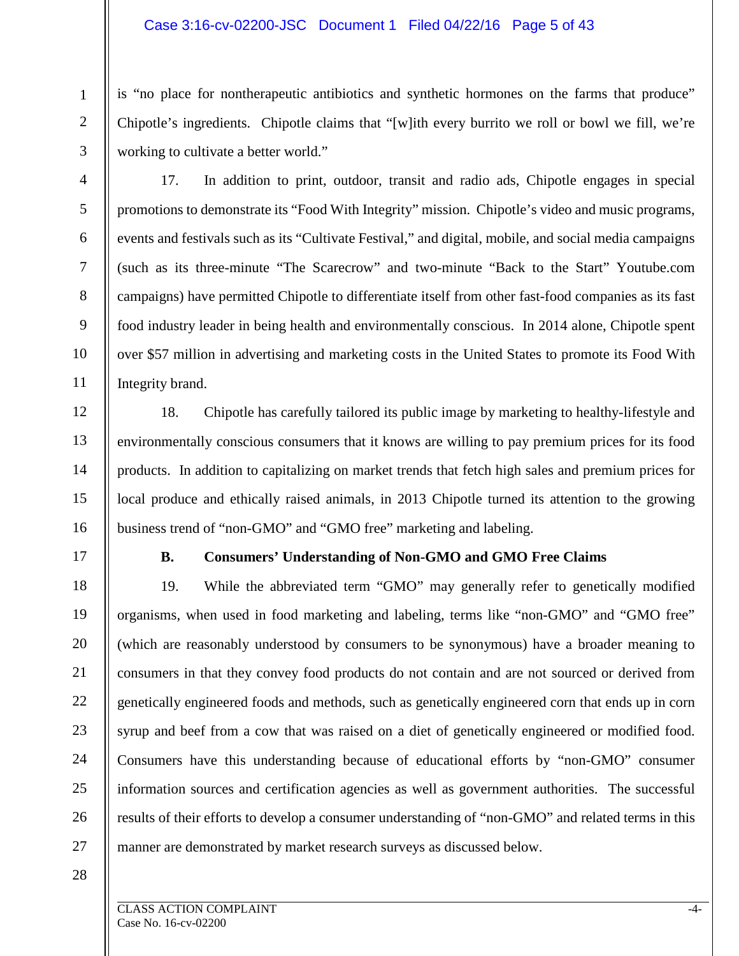#### Case 3:16-cv-02200-JSC Document 1 Filed 04/22/16 Page 5 of 43

is "no place for nontherapeutic antibiotics and synthetic hormones on the farms that produce" Chipotle's ingredients. Chipotle claims that "[w]ith every burrito we roll or bowl we fill, we're working to cultivate a better world."

3 4

5

6

7

8

9

10

11

12

13

14

15

16

18

19

20

21

22

23

24

25

26

27

1

2

17. In addition to print, outdoor, transit and radio ads, Chipotle engages in special promotions to demonstrate its "Food With Integrity" mission. Chipotle's video and music programs, events and festivals such as its "Cultivate Festival," and digital, mobile, and social media campaigns (such as its three-minute "The Scarecrow" and two-minute "Back to the Start" Youtube.com campaigns) have permitted Chipotle to differentiate itself from other fast-food companies as its fast food industry leader in being health and environmentally conscious. In 2014 alone, Chipotle spent over \$57 million in advertising and marketing costs in the United States to promote its Food With Integrity brand.

18. Chipotle has carefully tailored its public image by marketing to healthy-lifestyle and environmentally conscious consumers that it knows are willing to pay premium prices for its food products. In addition to capitalizing on market trends that fetch high sales and premium prices for local produce and ethically raised animals, in 2013 Chipotle turned its attention to the growing business trend of "non-GMO" and "GMO free" marketing and labeling.

17

#### **B. Consumers' Understanding of Non-GMO and GMO Free Claims**

19. While the abbreviated term "GMO" may generally refer to genetically modified organisms, when used in food marketing and labeling, terms like "non-GMO" and "GMO free" (which are reasonably understood by consumers to be synonymous) have a broader meaning to consumers in that they convey food products do not contain and are not sourced or derived from genetically engineered foods and methods, such as genetically engineered corn that ends up in corn syrup and beef from a cow that was raised on a diet of genetically engineered or modified food. Consumers have this understanding because of educational efforts by "non-GMO" consumer information sources and certification agencies as well as government authorities. The successful results of their efforts to develop a consumer understanding of "non-GMO" and related terms in this manner are demonstrated by market research surveys as discussed below.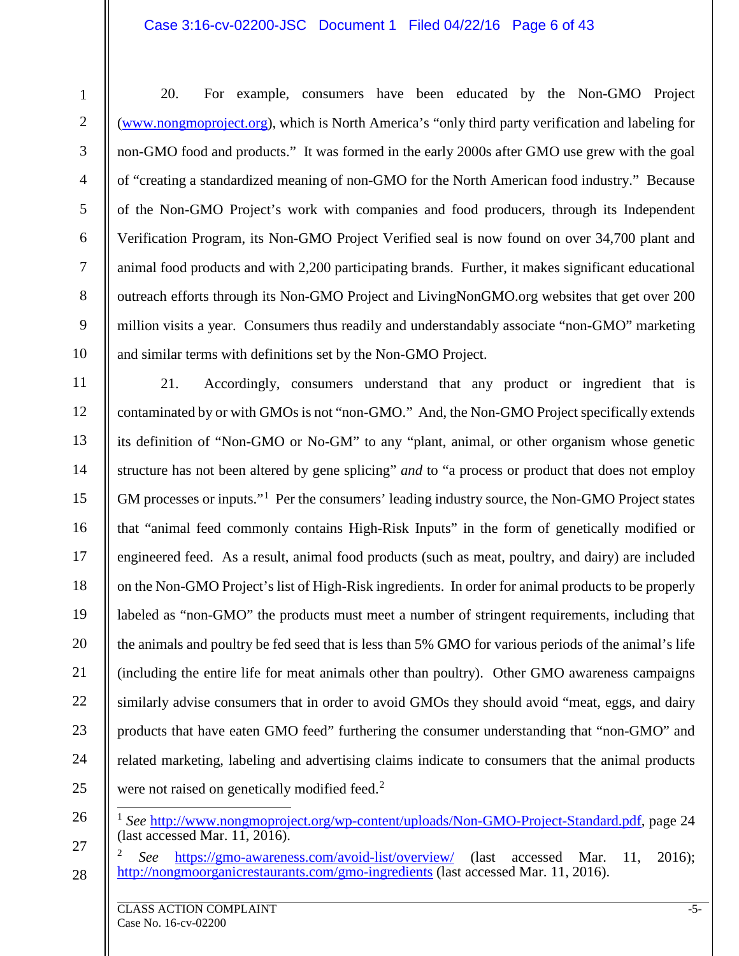#### Case 3:16-cv-02200-JSC Document 1 Filed 04/22/16 Page 6 of 43

1

20. For example, consumers have been educated by the Non-GMO Project [\(www.nongmoproject.org\)](http://www.nongmoproject.org/), which is North America's "only third party verification and labeling for non-GMO food and products." It was formed in the early 2000s after GMO use grew with the goal of "creating a standardized meaning of non-GMO for the North American food industry." Because of the Non-GMO Project's work with companies and food producers, through its Independent Verification Program, its Non-GMO Project Verified seal is now found on over 34,700 plant and animal food products and with 2,200 participating brands. Further, it makes significant educational outreach efforts through its Non-GMO Project and LivingNonGMO.org websites that get over 200 million visits a year. Consumers thus readily and understandably associate "non-GMO" marketing and similar terms with definitions set by the Non-GMO Project.

11 12 13 14 15 16 17 18 19 20 21 22 23 24 25 21. Accordingly, consumers understand that any product or ingredient that is contaminated by or with GMOs is not "non-GMO." And, the Non-GMO Project specifically extends its definition of "Non-GMO or No-GM" to any "plant, animal, or other organism whose genetic structure has not been altered by gene splicing" *and* to "a process or product that does not employ GM processes or inputs."<sup>[1](#page-5-0)</sup> Per the consumers' leading industry source, the Non-GMO Project states that "animal feed commonly contains High-Risk Inputs" in the form of genetically modified or engineered feed. As a result, animal food products (such as meat, poultry, and dairy) are included on the Non-GMO Project's list of High-Risk ingredients. In order for animal products to be properly labeled as "non-GMO" the products must meet a number of stringent requirements, including that the animals and poultry be fed seed that is less than 5% GMO for various periods of the animal's life (including the entire life for meat animals other than poultry). Other GMO awareness campaigns similarly advise consumers that in order to avoid GMOs they should avoid "meat, eggs, and dairy products that have eaten GMO feed" furthering the consumer understanding that "non-GMO" and related marketing, labeling and advertising claims indicate to consumers that the animal products were not raised on genetically modified feed.<sup>[2](#page-5-1)</sup>

<span id="page-5-1"></span>27 28 <sup>2</sup> *See* <https://gmo-awareness.com/avoid-list/overview/> (last accessed Mar. 11, 2016); <http://nongmoorganicrestaurants.com/gmo-ingredients> (last accessed Mar. 11, 2016).

<span id="page-5-0"></span><sup>26</sup>

<sup>&</sup>lt;sup>1</sup> See [http://www.nongmoproject.org/wp-content/uploads/Non-GMO-Project-Standard.pdf,](http://www.nongmoproject.org/wp-content/uploads/Non-GMO-Project-Standard.pdf) page 24 (last accessed Mar. 11, 2016).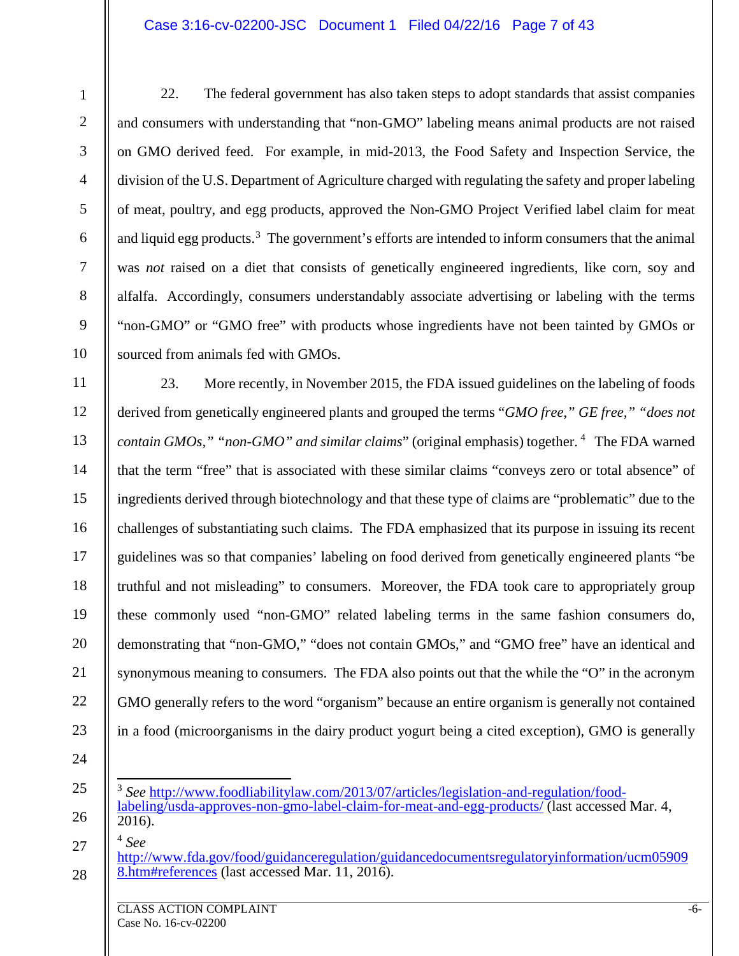#### Case 3:16-cv-02200-JSC Document 1 Filed 04/22/16 Page 7 of 43

22. The federal government has also taken steps to adopt standards that assist companies and consumers with understanding that "non-GMO" labeling means animal products are not raised on GMO derived feed. For example, in mid-2013, the Food Safety and Inspection Service, the division of the U.S. Department of Agriculture charged with regulating the safety and proper labeling of meat, poultry, and egg products, approved the Non-GMO Project Verified label claim for meat and liquid egg products.<sup>[3](#page-6-0)</sup> The government's efforts are intended to inform consumers that the animal was *not* raised on a diet that consists of genetically engineered ingredients, like corn, soy and alfalfa. Accordingly, consumers understandably associate advertising or labeling with the terms "non-GMO" or "GMO free" with products whose ingredients have not been tainted by GMOs or sourced from animals fed with GMOs.

11 12 13 14 15 16 17 18 19 20 21 22 23 23. More recently, in November 2015, the FDA issued guidelines on the labeling of foods derived from genetically engineered plants and grouped the terms "*GMO free," GE free," "does not contain GMOs," "non-GMO" and similar claims*" (original emphasis) together. [4](#page-6-1) The FDA warned that the term "free" that is associated with these similar claims "conveys zero or total absence" of ingredients derived through biotechnology and that these type of claims are "problematic" due to the challenges of substantiating such claims. The FDA emphasized that its purpose in issuing its recent guidelines was so that companies' labeling on food derived from genetically engineered plants "be truthful and not misleading" to consumers. Moreover, the FDA took care to appropriately group these commonly used "non-GMO" related labeling terms in the same fashion consumers do, demonstrating that "non-GMO," "does not contain GMOs," and "GMO free" have an identical and synonymous meaning to consumers. The FDA also points out that the while the "O" in the acronym GMO generally refers to the word "organism" because an entire organism is generally not contained in a food (microorganisms in the dairy product yogurt being a cited exception), GMO is generally

24 25

<span id="page-6-0"></span>26

<span id="page-6-1"></span>27

1

2

3

4

5

6

7

8

9

10

[8.htm#references](http://www.fda.gov/food/guidanceregulation/guidancedocumentsregulatoryinformation/ucm059098.htm#references) (last accessed Mar. 11, 2016).

 <sup>3</sup> *See* [http://www.foodliabilitylaw.com/2013/07/articles/legislation-and-regulation/food](http://www.foodliabilitylaw.com/2013/07/articles/legislation-and-regulation/food-labeling/usda-approves-non-gmo-label-claim-for-meat-and-egg-products/)[labeling/usda-approves-non-gmo-label-claim-for-meat-and-egg-products/](http://www.foodliabilitylaw.com/2013/07/articles/legislation-and-regulation/food-labeling/usda-approves-non-gmo-label-claim-for-meat-and-egg-products/) (last accessed Mar. 4,  $\overline{2016}$ .

<sup>4</sup> *See* [http://www.fda.gov/food/guidanceregulation/guidancedocumentsregulatoryinformation/ucm05909](http://www.fda.gov/food/guidanceregulation/guidancedocumentsregulatoryinformation/ucm059098.htm#references)

<sup>28</sup>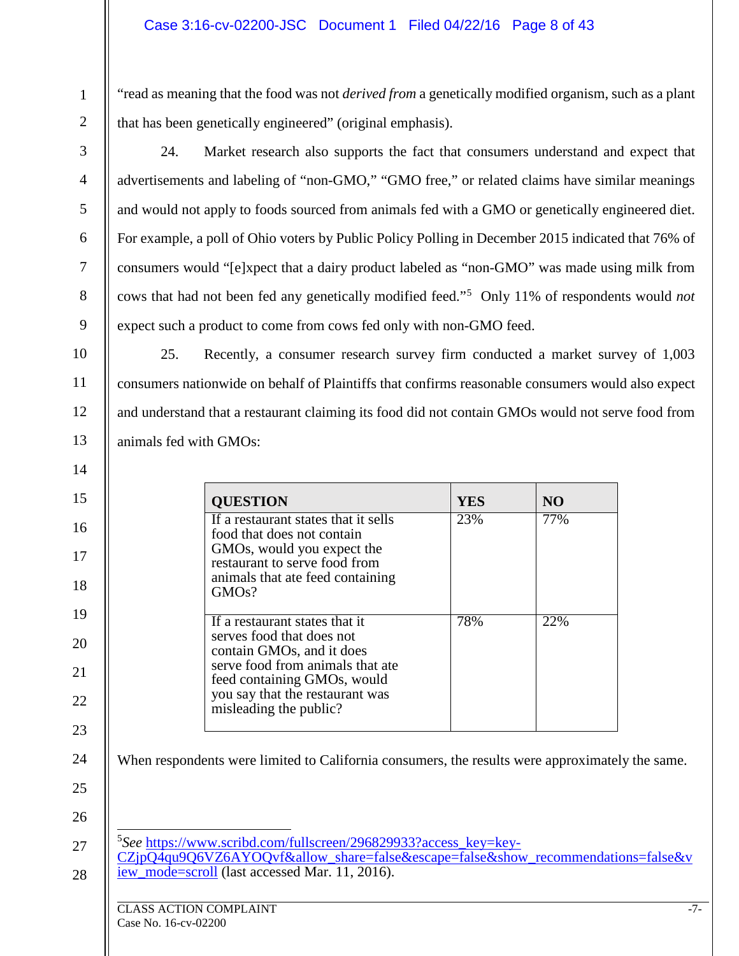"read as meaning that the food was not *derived from* a genetically modified organism, such as a plant that has been genetically engineered" (original emphasis).

3

4

5

6

7

8

9

10

11

12

13

14

15

16

17

18

19

20

21

22

23

24

25

26

1

2

24. Market research also supports the fact that consumers understand and expect that advertisements and labeling of "non-GMO," "GMO free," or related claims have similar meanings and would not apply to foods sourced from animals fed with a GMO or genetically engineered diet. For example, a poll of Ohio voters by Public Policy Polling in December 2015 indicated that 76% of consumers would "[e]xpect that a dairy product labeled as "non-GMO" was made using milk from cows that had not been fed any genetically modified feed."[5](#page-7-0) Only 11% of respondents would *not* expect such a product to come from cows fed only with non-GMO feed.

25. Recently, a consumer research survey firm conducted a market survey of 1,003 consumers nationwide on behalf of Plaintiffs that confirms reasonable consumers would also expect and understand that a restaurant claiming its food did not contain GMOs would not serve food from animals fed with GMOs:

| <b>QUESTION</b>                                                                                                                                                                                                          | <b>YES</b> | N <sub>O</sub> |
|--------------------------------------------------------------------------------------------------------------------------------------------------------------------------------------------------------------------------|------------|----------------|
| If a restaurant states that it sells<br>food that does not contain<br>GMOs, would you expect the<br>restaurant to serve food from<br>animals that ate feed containing<br>GMO <sub>s</sub> ?                              | 23%        | 77%            |
| If a restaurant states that it<br>serves food that does not<br>contain GMOs, and it does<br>serve food from animals that ate<br>feed containing GMOs, would<br>you say that the restaurant was<br>misleading the public? | 78%        | 22%            |

When respondents were limited to California consumers, the results were approximately the same.

<sup>5</sup>See [https://www.scribd.com/fullscreen/296829933?access\\_key=key-](https://www.scribd.com/fullscreen/296829933?access_key=key-CZjpQ4qu9Q6VZ6AYOQvf&allow_share=false&escape=false&show_recommendations=false&view_mode=scroll)

<span id="page-7-0"></span>27 28  $CZip\overline{Q4}qu9Q6VZ6AYOQvf\&allow\text{allow share=false\&escape=false\&shower}}$  recommendations=false &v [iew\\_mode=scroll](https://www.scribd.com/fullscreen/296829933?access_key=key-CZjpQ4qu9Q6VZ6AYOQvf&allow_share=false&escape=false&show_recommendations=false&view_mode=scroll) (last accessed Mar. 11, 2016).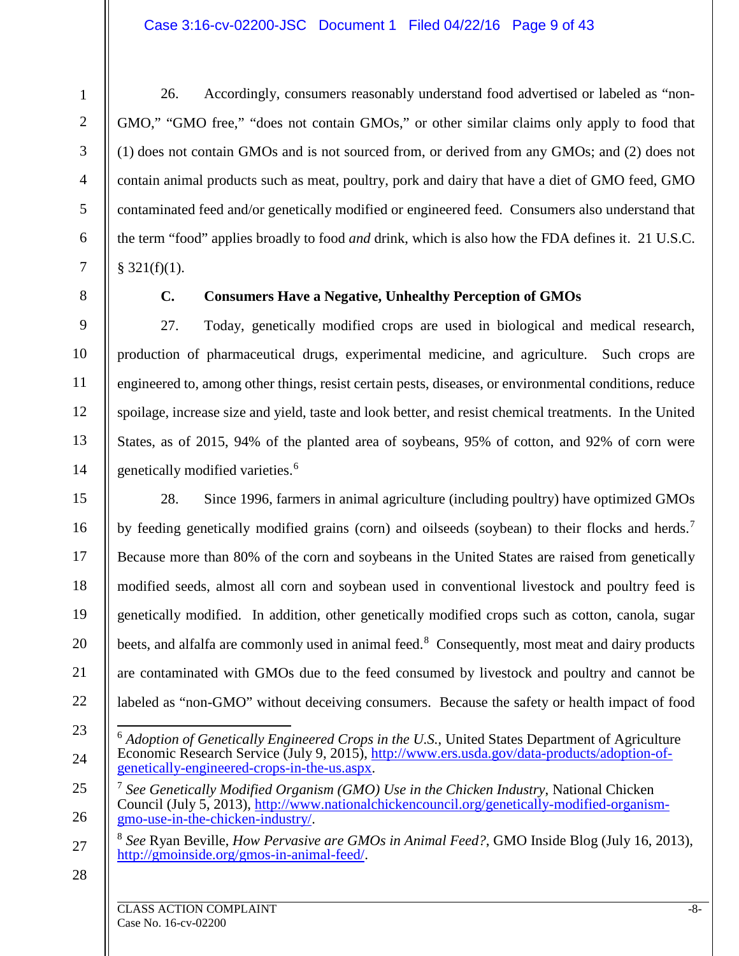#### Case 3:16-cv-02200-JSC Document 1 Filed 04/22/16 Page 9 of 43

26. Accordingly, consumers reasonably understand food advertised or labeled as "non-GMO," "GMO free," "does not contain GMOs," or other similar claims only apply to food that (1) does not contain GMOs and is not sourced from, or derived from any GMOs; and (2) does not contain animal products such as meat, poultry, pork and dairy that have a diet of GMO feed, GMO contaminated feed and/or genetically modified or engineered feed. Consumers also understand that the term "food" applies broadly to food *and* drink, which is also how the FDA defines it. 21 U.S.C.  $$321(f)(1).$ 

1

2

3

4

5

6

7

8

9

10

11

12

13

14

15

16

17

18

19

20

21

# **C. Consumers Have a Negative, Unhealthy Perception of GMOs**

27. Today, genetically modified crops are used in biological and medical research, production of pharmaceutical drugs, experimental medicine, and agriculture. Such crops are engineered to, among other things, resist certain pests, diseases, or environmental conditions, reduce spoilage, increase size and yield, taste and look better, and resist chemical treatments. In the United States, as of 2015, 94% of the planted area of soybeans, 95% of cotton, and 92% of corn were genetically modified varieties.<sup>[6](#page-8-0)</sup>

28. Since 1996, farmers in animal agriculture (including poultry) have optimized GMOs by feeding genetically modified grains (corn) and oilseeds (soybean) to their flocks and herds.<sup>[7](#page-8-1)</sup> Because more than 80% of the corn and soybeans in the United States are raised from genetically modified seeds, almost all corn and soybean used in conventional livestock and poultry feed is genetically modified. In addition, other genetically modified crops such as cotton, canola, sugar beets, and alfalfa are commonly used in animal feed.<sup>[8](#page-8-2)</sup> Consequently, most meat and dairy products are contaminated with GMOs due to the feed consumed by livestock and poultry and cannot be labeled as "non-GMO" without deceiving consumers. Because the safety or health impact of food

- 22 23
- <span id="page-8-0"></span>24 6 *Adoption of Genetically Engineered Crops in the U.S.*, United States Department of Agriculture Economic Research Service (July 9, 2015), [http://www.ers.usda.gov/data-products/adoption-of](http://www.ers.usda.gov/data-products/adoption-of-genetically-engineered-crops-in-the-us.aspx)[genetically-engineered-crops-in-the-us.aspx.](http://www.ers.usda.gov/data-products/adoption-of-genetically-engineered-crops-in-the-us.aspx)

<span id="page-8-1"></span>25 26 <sup>7</sup> *See Genetically Modified Organism (GMO) Use in the Chicken Industry*, National Chicken Council (July 5, 2013), [http://www.nationalchickencouncil.org/genetically-modified-organism](http://www.nationalchickencouncil.org/genetically-modified-organism-gmo-use-in-the-chicken-industry/)[gmo-use-in-the-chicken-industry/.](http://www.nationalchickencouncil.org/genetically-modified-organism-gmo-use-in-the-chicken-industry/)

<span id="page-8-2"></span>27 <sup>8</sup> *See* Ryan Beville, *How Pervasive are GMOs in Animal Feed?*, GMO Inside Blog (July 16, 2013), [http://gmoinside.org/gmos-in-animal-feed/.](http://gmoinside.org/gmos-in-animal-feed/)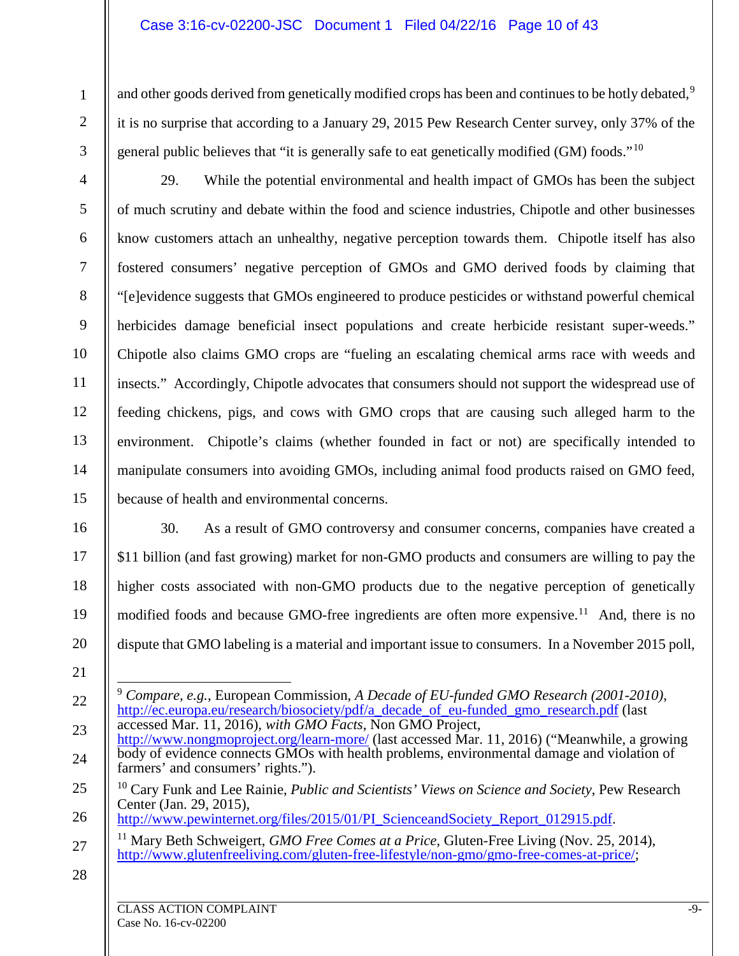#### Case 3:16-cv-02200-JSC Document 1 Filed 04/22/16 Page 10 of 43

and other goods derived from genetically modified crops has been and continues to be hotly debated,<sup>[9](#page-9-0)</sup> it is no surprise that according to a January 29, 2015 Pew Research Center survey, only 37% of the general public believes that "it is generally safe to eat genetically modified (GM) foods."[10](#page-9-1)

3

4

5

6

7

8

9

10

11

12

13

14

15

17

18

19

20

1

2

29. While the potential environmental and health impact of GMOs has been the subject of much scrutiny and debate within the food and science industries, Chipotle and other businesses know customers attach an unhealthy, negative perception towards them. Chipotle itself has also fostered consumers' negative perception of GMOs and GMO derived foods by claiming that "[e]evidence suggests that GMOs engineered to produce pesticides or withstand powerful chemical herbicides damage beneficial insect populations and create herbicide resistant super-weeds." Chipotle also claims GMO crops are "fueling an escalating chemical arms race with weeds and insects." Accordingly, Chipotle advocates that consumers should not support the widespread use of feeding chickens, pigs, and cows with GMO crops that are causing such alleged harm to the environment. Chipotle's claims (whether founded in fact or not) are specifically intended to manipulate consumers into avoiding GMOs, including animal food products raised on GMO feed, because of health and environmental concerns.

16

30. As a result of GMO controversy and consumer concerns, companies have created a \$11 billion (and fast growing) market for non-GMO products and consumers are willing to pay the higher costs associated with non-GMO products due to the negative perception of genetically modified foods and because GMO-free ingredients are often more expensive.<sup>11</sup> And, there is no dispute that GMO labeling is a material and important issue to consumers. In a November 2015 poll,

21

26 [http://www.pewinternet.org/files/2015/01/PI\\_ScienceandSociety\\_Report\\_012915.pdf.](http://www.pewinternet.org/files/2015/01/PI_ScienceandSociety_Report_012915.pdf)

<span id="page-9-2"></span>27 <sup>11</sup> Mary Beth Schweigert, *GMO Free Comes at a Price*, Gluten-Free Living (Nov. 25, 2014), [http://www.glutenfreeliving.com/gluten-free-lifestyle/non-gmo/gmo-free-comes-at-price/;](http://www.glutenfreeliving.com/gluten-free-lifestyle/non-gmo/gmo-free-comes-at-price/)

<span id="page-9-0"></span><sup>22</sup> 23 9 *Compare, e.g.*, European Commission, *A Decade of EU-funded GMO Research (2001-2010)*, [http://ec.europa.eu/research/biosociety/pdf/a\\_decade\\_of\\_eu-funded\\_gmo\\_research.pdf](http://ec.europa.eu/research/biosociety/pdf/a_decade_of_eu-funded_gmo_research.pdf) (last accessed Mar. 11, 2016), *with GMO Facts*, Non GMO Project,

<sup>24</sup> <http://www.nongmoproject.org/learn-more/> (last accessed Mar. 11, 2016) ("Meanwhile, a growing body of evidence connects GMOs with health problems, environmental damage and violation of farmers' and consumers' rights.").

<span id="page-9-1"></span><sup>25</sup> <sup>10</sup> Cary Funk and Lee Rainie, *Public and Scientists' Views on Science and Society*, Pew Research Center (Jan. 29, 2015),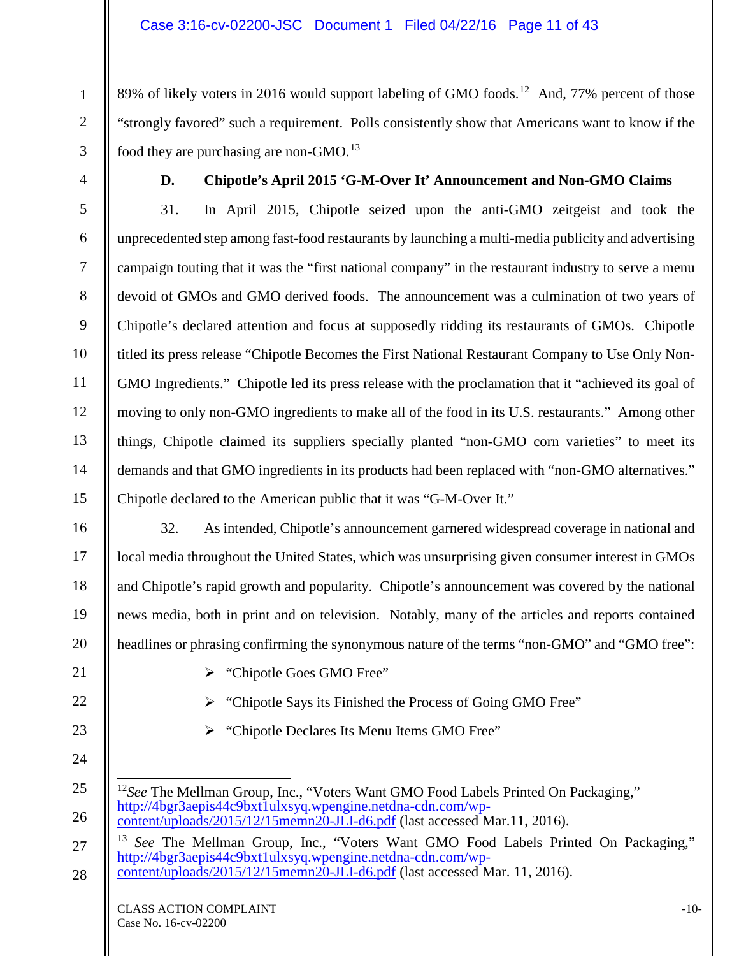89% of likely voters in 2016 would support labeling of GMO foods.<sup>12</sup> And, 77% percent of those "strongly favored" such a requirement. Polls consistently show that Americans want to know if the food they are purchasing are non-GMO.<sup>[13](#page-10-1)</sup>

1

2

3

4

5

6

7

8

9

10

11

12

13

14

15

16

17

18

19

20

## **D. Chipotle's April 2015 'G-M-Over It' Announcement and Non-GMO Claims**

31. In April 2015, Chipotle seized upon the anti-GMO zeitgeist and took the unprecedented step among fast-food restaurants by launching a multi-media publicity and advertising campaign touting that it was the "first national company" in the restaurant industry to serve a menu devoid of GMOs and GMO derived foods. The announcement was a culmination of two years of Chipotle's declared attention and focus at supposedly ridding its restaurants of GMOs. Chipotle titled its press release "Chipotle Becomes the First National Restaurant Company to Use Only Non-GMO Ingredients." Chipotle led its press release with the proclamation that it "achieved its goal of moving to only non-GMO ingredients to make all of the food in its U.S. restaurants." Among other things, Chipotle claimed its suppliers specially planted "non-GMO corn varieties" to meet its demands and that GMO ingredients in its products had been replaced with "non-GMO alternatives." Chipotle declared to the American public that it was "G-M-Over It."

32. As intended, Chipotle's announcement garnered widespread coverage in national and local media throughout the United States, which was unsurprising given consumer interest in GMOs and Chipotle's rapid growth and popularity. Chipotle's announcement was covered by the national news media, both in print and on television. Notably, many of the articles and reports contained headlines or phrasing confirming the synonymous nature of the terms "non-GMO" and "GMO free":

> "Chipotle Says its Finished the Process of Going GMO Free"

> "Chipotle Declares Its Menu Items GMO Free"

[content/uploads/2015/12/15memn20-JLI-d6.pdf](http://4bgr3aepis44c9bxt1ulxsyq.wpengine.netdna-cdn.com/wp-content/uploads/2015/12/15memn20-JLI-d6.pdf) (last accessed Mar.11, 2016).

> "Chipotle Goes GMO Free"

[http://4bgr3aepis44c9bxt1ulxsyq.wpengine.netdna-cdn.com/wp-](http://4bgr3aepis44c9bxt1ulxsyq.wpengine.netdna-cdn.com/wp-content/uploads/2015/12/15memn20-JLI-d6.pdf)

- 21
- 22
- 23
- 24

<span id="page-10-0"></span>25

26

<span id="page-10-1"></span>27

28

See The Mellman Group, Inc., "Voters Want GMO Food Labels Printed On Packaging," [http://4bgr3aepis44c9bxt1ulxsyq.wpengine.netdna-cdn.com/wp](http://4bgr3aepis44c9bxt1ulxsyq.wpengine.netdna-cdn.com/wp-content/uploads/2015/12/15memn20-JLI-d6.pdf)[content/uploads/2015/12/15memn20-JLI-d6.pdf](http://4bgr3aepis44c9bxt1ulxsyq.wpengine.netdna-cdn.com/wp-content/uploads/2015/12/15memn20-JLI-d6.pdf) (last accessed Mar. 11, 2016).

<sup>12</sup>See The Mellman Group, Inc., "Voters Want GMO Food Labels Printed On Packaging,"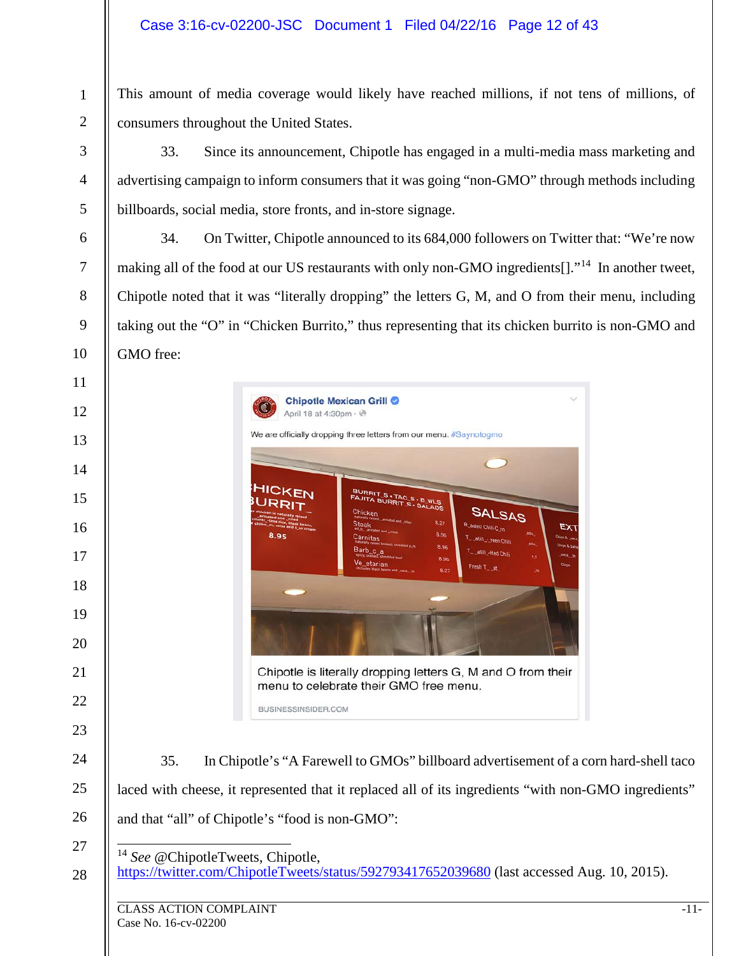#### Case 3:16-cv-02200-JSC Document 1 Filed 04/22/16 Page 12 of 43

This amount of media coverage would likely have reached millions, if not tens of millions, of consumers throughout the United States.

33. Since its announcement, Chipotle has engaged in a multi-media mass marketing and advertising campaign to inform consumers that it was going "non-GMO" through methods including billboards, social media, store fronts, and in-store signage.

34. On Twitter, Chipotle announced to its 684,000 followers on Twitter that: "We're now making all of the food at our US restaurants with only non-GMO ingredients[]."<sup>14</sup> In another tweet, Chipotle noted that it was "literally dropping" the letters G, M, and O from their menu, including taking out the "O" in "Chicken Burrito," thus representing that its chicken burrito is non-GMO and GMO free:



 *See* @ChipotleTweets, Chipotle, <https://twitter.com/ChipotleTweets/status/592793417652039680> (last accessed Aug. 10, 2015).

<span id="page-11-0"></span>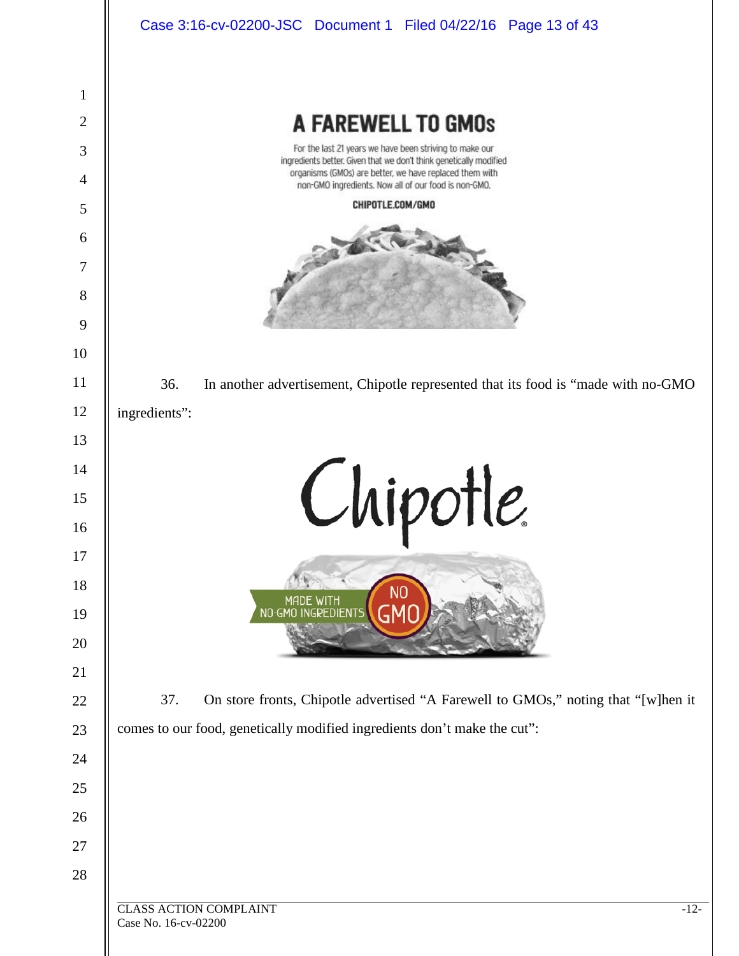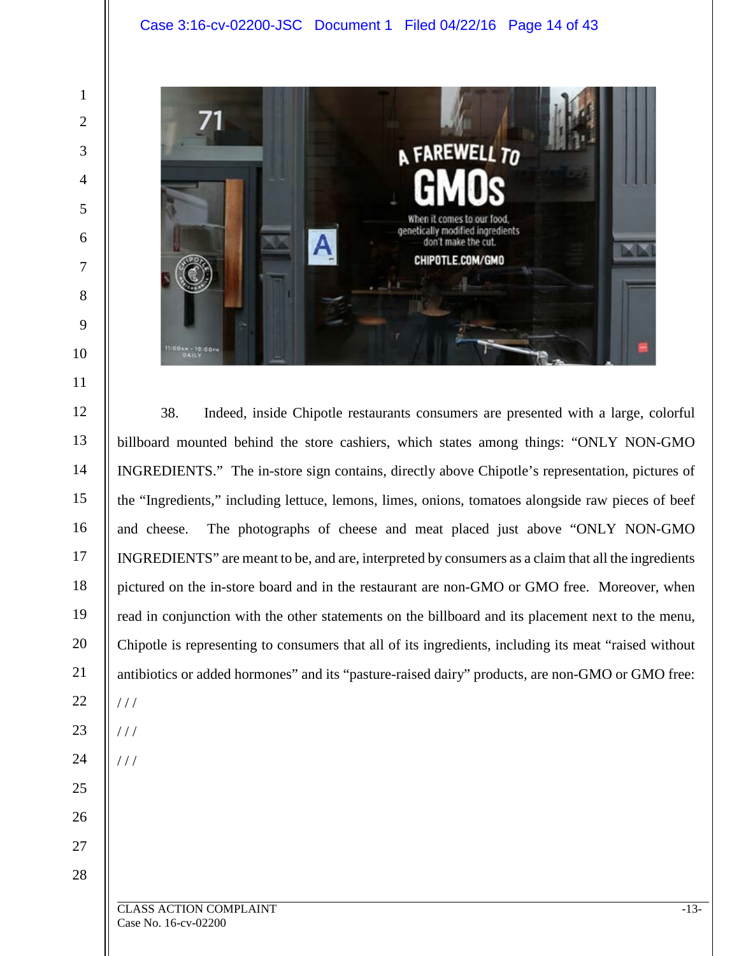

38. Indeed, inside Chipotle restaurants consumers are presented with a large, colorful billboard mounted behind the store cashiers, which states among things: "ONLY NON-GMO INGREDIENTS." The in-store sign contains, directly above Chipotle's representation, pictures of the "Ingredients," including lettuce, lemons, limes, onions, tomatoes alongside raw pieces of beef and cheese. The photographs of cheese and meat placed just above "ONLY NON-GMO INGREDIENTS" are meant to be, and are, interpreted by consumers as a claim that all the ingredients pictured on the in-store board and in the restaurant are non-GMO or GMO free. Moreover, when read in conjunction with the other statements on the billboard and its placement next to the menu, Chipotle is representing to consumers that all of its ingredients, including its meat "raised without antibiotics or added hormones" and its "pasture-raised dairy" products, are non-GMO or GMO free: / / /  $1/1$ 

 $1/1$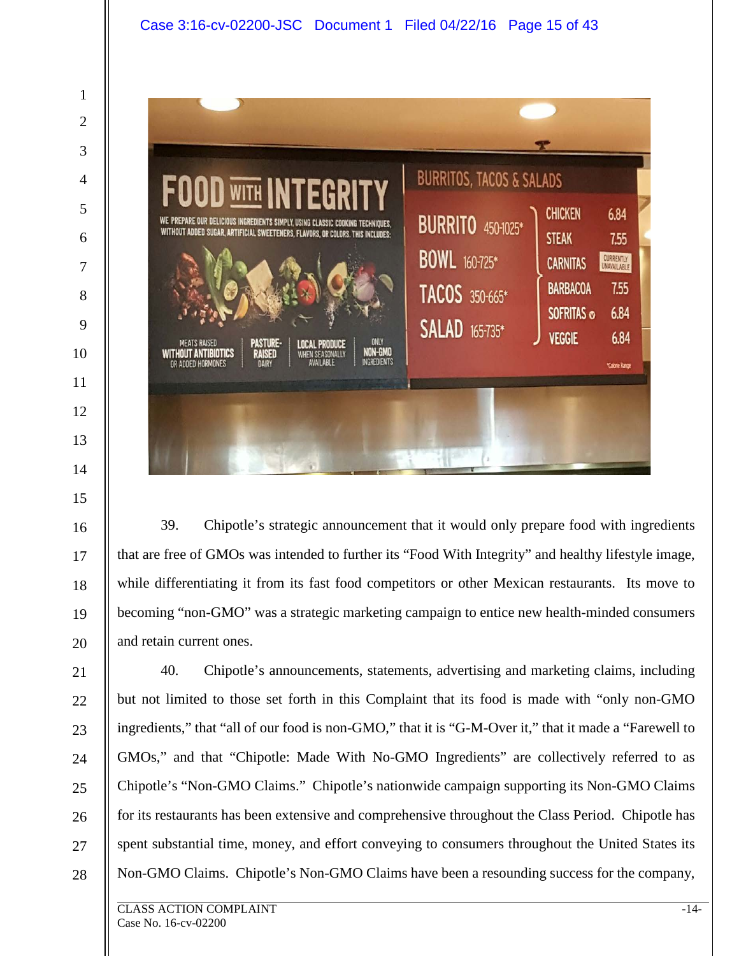

39. Chipotle's strategic announcement that it would only prepare food with ingredients that are free of GMOs was intended to further its "Food With Integrity" and healthy lifestyle image, while differentiating it from its fast food competitors or other Mexican restaurants. Its move to becoming "non-GMO" was a strategic marketing campaign to entice new health-minded consumers and retain current ones.

40. Chipotle's announcements, statements, advertising and marketing claims, including but not limited to those set forth in this Complaint that its food is made with "only non-GMO ingredients," that "all of our food is non-GMO," that it is "G-M-Over it," that it made a "Farewell to GMOs," and that "Chipotle: Made With No-GMO Ingredients" are collectively referred to as Chipotle's "Non-GMO Claims." Chipotle's nationwide campaign supporting its Non-GMO Claims for its restaurants has been extensive and comprehensive throughout the Class Period. Chipotle has spent substantial time, money, and effort conveying to consumers throughout the United States its Non-GMO Claims. Chipotle's Non-GMO Claims have been a resounding success for the company,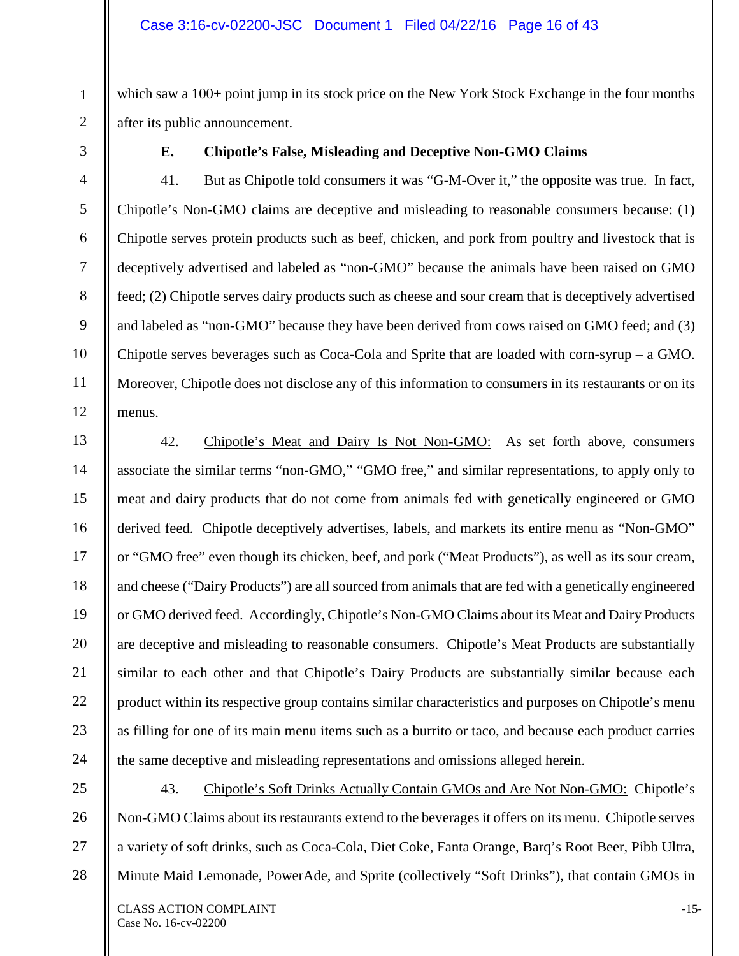which saw a 100+ point jump in its stock price on the New York Stock Exchange in the four months after its public announcement.

1

2

3

4

5

6

7

8

9

10

11

12

13

14

15

16

17

18

19

20

21

22

23

24

#### **E. Chipotle's False, Misleading and Deceptive Non-GMO Claims**

41. But as Chipotle told consumers it was "G-M-Over it," the opposite was true. In fact, Chipotle's Non-GMO claims are deceptive and misleading to reasonable consumers because: (1) Chipotle serves protein products such as beef, chicken, and pork from poultry and livestock that is deceptively advertised and labeled as "non-GMO" because the animals have been raised on GMO feed; (2) Chipotle serves dairy products such as cheese and sour cream that is deceptively advertised and labeled as "non-GMO" because they have been derived from cows raised on GMO feed; and (3) Chipotle serves beverages such as Coca-Cola and Sprite that are loaded with corn-syrup – a GMO. Moreover, Chipotle does not disclose any of this information to consumers in its restaurants or on its menus.

42. Chipotle's Meat and Dairy Is Not Non-GMO: As set forth above, consumers associate the similar terms "non-GMO," "GMO free," and similar representations, to apply only to meat and dairy products that do not come from animals fed with genetically engineered or GMO derived feed. Chipotle deceptively advertises, labels, and markets its entire menu as "Non-GMO" or "GMO free" even though its chicken, beef, and pork ("Meat Products"), as well as its sour cream, and cheese ("Dairy Products") are all sourced from animals that are fed with a genetically engineered or GMO derived feed. Accordingly, Chipotle's Non-GMO Claims about its Meat and Dairy Products are deceptive and misleading to reasonable consumers. Chipotle's Meat Products are substantially similar to each other and that Chipotle's Dairy Products are substantially similar because each product within its respective group contains similar characteristics and purposes on Chipotle's menu as filling for one of its main menu items such as a burrito or taco, and because each product carries the same deceptive and misleading representations and omissions alleged herein.

25 26 27 28 43. Chipotle's Soft Drinks Actually Contain GMOs and Are Not Non-GMO: Chipotle's Non-GMO Claims about its restaurants extend to the beverages it offers on its menu. Chipotle serves a variety of soft drinks, such as Coca-Cola, Diet Coke, Fanta Orange, Barq's Root Beer, Pibb Ultra, Minute Maid Lemonade, PowerAde, and Sprite (collectively "Soft Drinks"), that contain GMOs in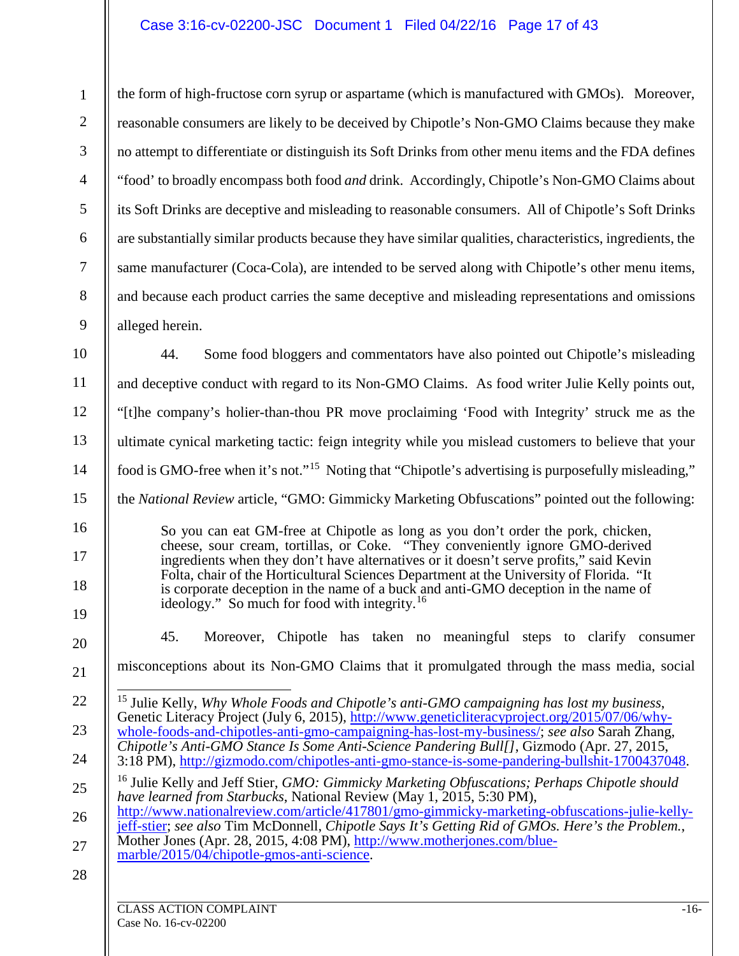# Case 3:16-cv-02200-JSC Document 1 Filed 04/22/16 Page 17 of 43

<span id="page-16-1"></span><span id="page-16-0"></span>

| $\mathbf{1}$   | the form of high-fructose corn syrup or aspartame (which is manufactured with GMOs). Moreover,                                                                                                                                                                                                                                                         |  |  |
|----------------|--------------------------------------------------------------------------------------------------------------------------------------------------------------------------------------------------------------------------------------------------------------------------------------------------------------------------------------------------------|--|--|
| $\overline{2}$ | reasonable consumers are likely to be deceived by Chipotle's Non-GMO Claims because they make                                                                                                                                                                                                                                                          |  |  |
| 3              | no attempt to differentiate or distinguish its Soft Drinks from other menu items and the FDA defines                                                                                                                                                                                                                                                   |  |  |
| $\overline{4}$ | "food' to broadly encompass both food <i>and</i> drink. Accordingly, Chipotle's Non-GMO Claims about                                                                                                                                                                                                                                                   |  |  |
| 5              | its Soft Drinks are deceptive and misleading to reasonable consumers. All of Chipotle's Soft Drinks                                                                                                                                                                                                                                                    |  |  |
| 6              | are substantially similar products because they have similar qualities, characteristics, ingredients, the                                                                                                                                                                                                                                              |  |  |
| $\tau$         | same manufacturer (Coca-Cola), are intended to be served along with Chipotle's other menu items,                                                                                                                                                                                                                                                       |  |  |
| $8\,$          | and because each product carries the same deceptive and misleading representations and omissions                                                                                                                                                                                                                                                       |  |  |
| 9              | alleged herein.                                                                                                                                                                                                                                                                                                                                        |  |  |
| 10             | 44.<br>Some food bloggers and commentators have also pointed out Chipotle's misleading                                                                                                                                                                                                                                                                 |  |  |
| 11             | and deceptive conduct with regard to its Non-GMO Claims. As food writer Julie Kelly points out,                                                                                                                                                                                                                                                        |  |  |
| 12             | "[t]he company's holier-than-thou PR move proclaiming 'Food with Integrity' struck me as the                                                                                                                                                                                                                                                           |  |  |
| 13             | ultimate cynical marketing tactic: feign integrity while you mislead customers to believe that your                                                                                                                                                                                                                                                    |  |  |
| 14             | food is GMO-free when it's not." <sup>15</sup> Noting that "Chipotle's advertising is purposefully misleading,"                                                                                                                                                                                                                                        |  |  |
| 15             | the National Review article, "GMO: Gimmicky Marketing Obfuscations" pointed out the following:                                                                                                                                                                                                                                                         |  |  |
| 16<br>17       | So you can eat GM-free at Chipotle as long as you don't order the pork, chicken,<br>cheese, sour cream, tortillas, or Coke. "They conveniently ignore GMO-derived<br>ingredients when they don't have alternatives or it doesn't serve profits," said Kevin<br>Folta, chair of the Horticultural Sciences Department at the University of Florida. "It |  |  |
| 18<br>19       | is corporate deception in the name of a buck and anti-GMO deception in the name of<br>ideology." So much for food with integrity. <sup>16</sup>                                                                                                                                                                                                        |  |  |
| 20             | Moreover, Chipotle has taken no meaningful steps to clarify consumer<br>45.                                                                                                                                                                                                                                                                            |  |  |
| 21             | misconceptions about its Non-GMO Claims that it promulgated through the mass media, social                                                                                                                                                                                                                                                             |  |  |
| 22             | <sup>15</sup> Julie Kelly, Why Whole Foods and Chipotle's anti-GMO campaigning has lost my business,<br>Genetic Literacy Project (July 6, 2015), http://www.geneticliteracyproject.org/2015/07/06/why-                                                                                                                                                 |  |  |
| 23             | whole-foods-and-chipotles-anti-gmo-campaigning-has-lost-my-business/; see also Sarah Zhang,<br>Chipotle's Anti-GMO Stance Is Some Anti-Science Pandering Bull[], Gizmodo (Apr. 27, 2015,                                                                                                                                                               |  |  |
| 24             | 3:18 PM), http://gizmodo.com/chipotles-anti-gmo-stance-is-some-pandering-bullshit-1700437048.                                                                                                                                                                                                                                                          |  |  |
| 25             | <sup>16</sup> Julie Kelly and Jeff Stier, GMO: Gimmicky Marketing Obfuscations; Perhaps Chipotle should<br>have learned from Starbucks, National Review (May 1, 2015, 5:30 PM),                                                                                                                                                                        |  |  |
| 26             | http://www.nationalreview.com/article/417801/gmo-gimmicky-marketing-obfuscations-julie-kelly-<br>jeff-stier; see also Tim McDonnell, Chipotle Says It's Getting Rid of GMOs. Here's the Problem.,                                                                                                                                                      |  |  |
| 27             | Mother Jones (Apr. 28, 2015, 4:08 PM), http://www.motherjones.com/blue-<br>marble/2015/04/chipotle-gmos-anti-science.                                                                                                                                                                                                                                  |  |  |
| 28             |                                                                                                                                                                                                                                                                                                                                                        |  |  |
|                | <b>CLASS ACTION COMPLAINT</b><br>$-16-$                                                                                                                                                                                                                                                                                                                |  |  |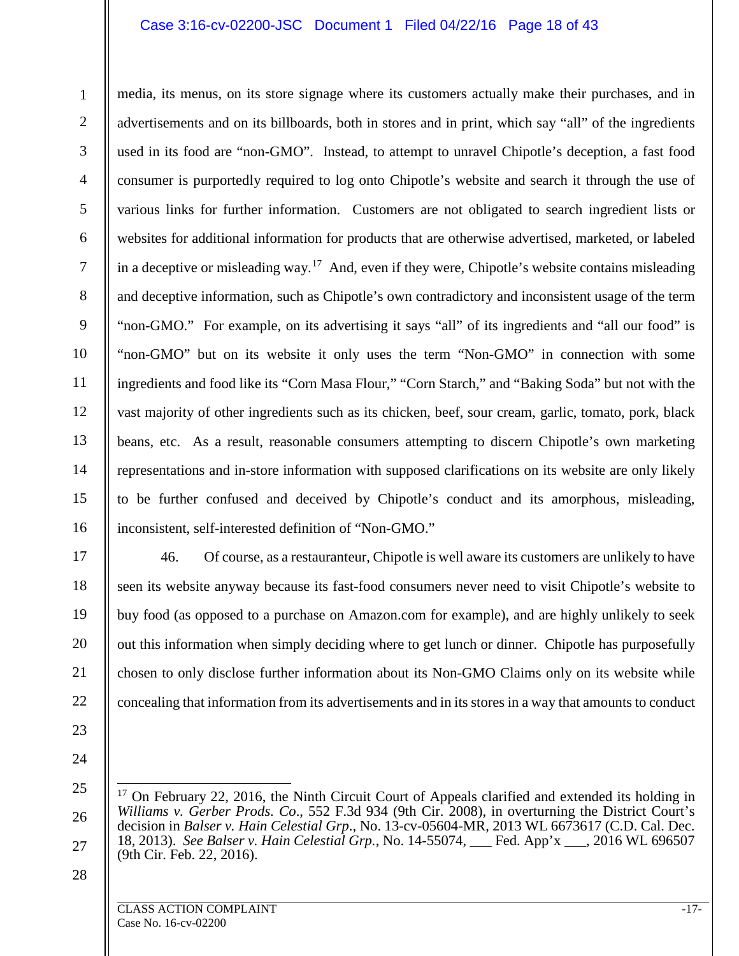#### Case 3:16-cv-02200-JSC Document 1 Filed 04/22/16 Page 18 of 43

1 2 3 4 5 6 7 8 9 10 11 12 13 14 15 16 media, its menus, on its store signage where its customers actually make their purchases, and in advertisements and on its billboards, both in stores and in print, which say "all" of the ingredients used in its food are "non-GMO". Instead, to attempt to unravel Chipotle's deception, a fast food consumer is purportedly required to log onto Chipotle's website and search it through the use of various links for further information. Customers are not obligated to search ingredient lists or websites for additional information for products that are otherwise advertised, marketed, or labeled in a deceptive or misleading way.<sup>17</sup> And, even if they were, Chipotle's website contains misleading and deceptive information, such as Chipotle's own contradictory and inconsistent usage of the term "non-GMO." For example, on its advertising it says "all" of its ingredients and "all our food" is "non-GMO" but on its website it only uses the term "Non-GMO" in connection with some ingredients and food like its "Corn Masa Flour," "Corn Starch," and "Baking Soda" but not with the vast majority of other ingredients such as its chicken, beef, sour cream, garlic, tomato, pork, black beans, etc. As a result, reasonable consumers attempting to discern Chipotle's own marketing representations and in-store information with supposed clarifications on its website are only likely to be further confused and deceived by Chipotle's conduct and its amorphous, misleading, inconsistent, self-interested definition of "Non-GMO."

17 18 19

20

21

22

46. Of course, as a restauranteur, Chipotle is well aware its customers are unlikely to have seen its website anyway because its fast-food consumers never need to visit Chipotle's website to buy food (as opposed to a purchase on Amazon.com for example), and are highly unlikely to seek out this information when simply deciding where to get lunch or dinner. Chipotle has purposefully chosen to only disclose further information about its Non-GMO Claims only on its website while concealing that information from its advertisements and in its stores in a way that amounts to conduct

- 23
- 24
- <span id="page-17-0"></span>25

26

27

 $17$  On February 22, 2016, the Ninth Circuit Court of Appeals clarified and extended its holding in *Williams v. Gerber Prods. Co*., 552 F.3d 934 (9th Cir. 2008), in overturning the District Court's decision in *Balser v. Hain Celestial Grp*., No. 13-cv-05604-MR, 2013 WL 6673617 (C.D. Cal. Dec. 18, 2013). *See Balser v. Hain Celestial Grp.*, No. 14-55074, \_\_\_ Fed. App'x \_\_\_, 2016 WL 696507 (9th Cir. Feb. 22, 2016).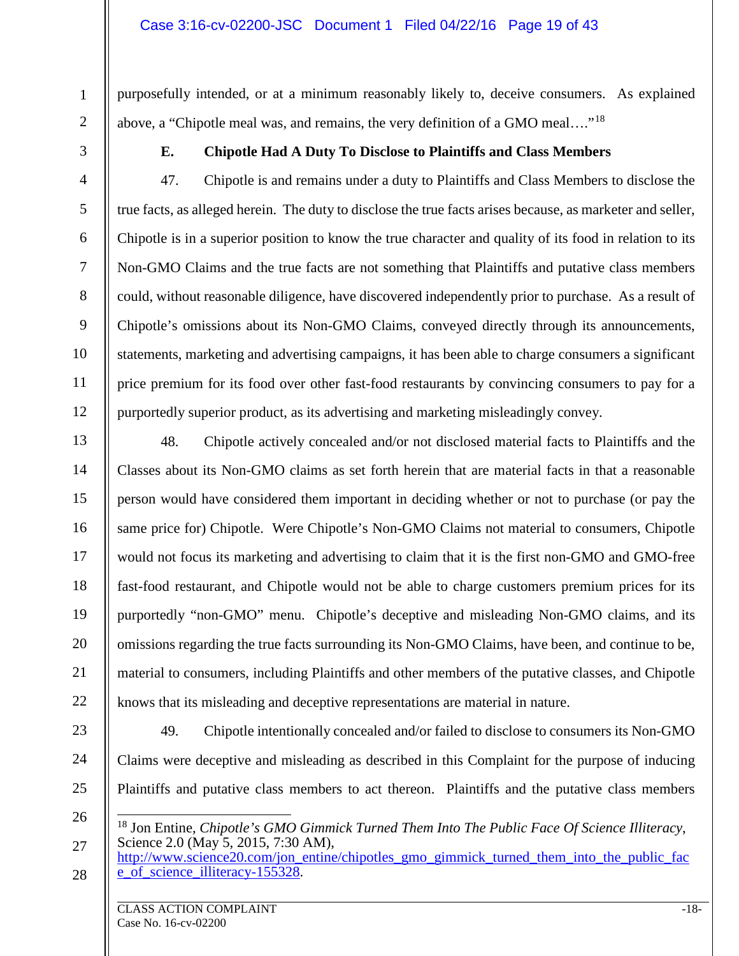purposefully intended, or at a minimum reasonably likely to, deceive consumers. As explained above, a "Chipotle meal was, and remains, the very definition of a GMO meal…."[18](#page-18-0)

1

2

3

4

5

6

7

8

9

10

11

12

### **E. Chipotle Had A Duty To Disclose to Plaintiffs and Class Members**

47. Chipotle is and remains under a duty to Plaintiffs and Class Members to disclose the true facts, as alleged herein. The duty to disclose the true facts arises because, as marketer and seller, Chipotle is in a superior position to know the true character and quality of its food in relation to its Non-GMO Claims and the true facts are not something that Plaintiffs and putative class members could, without reasonable diligence, have discovered independently prior to purchase. As a result of Chipotle's omissions about its Non-GMO Claims, conveyed directly through its announcements, statements, marketing and advertising campaigns, it has been able to charge consumers a significant price premium for its food over other fast-food restaurants by convincing consumers to pay for a purportedly superior product, as its advertising and marketing misleadingly convey.

13 14 15 16 17 18 19 20 21 22 48. Chipotle actively concealed and/or not disclosed material facts to Plaintiffs and the Classes about its Non-GMO claims as set forth herein that are material facts in that a reasonable person would have considered them important in deciding whether or not to purchase (or pay the same price for) Chipotle. Were Chipotle's Non-GMO Claims not material to consumers, Chipotle would not focus its marketing and advertising to claim that it is the first non-GMO and GMO-free fast-food restaurant, and Chipotle would not be able to charge customers premium prices for its purportedly "non-GMO" menu. Chipotle's deceptive and misleading Non-GMO claims, and its omissions regarding the true facts surrounding its Non-GMO Claims, have been, and continue to be, material to consumers, including Plaintiffs and other members of the putative classes, and Chipotle knows that its misleading and deceptive representations are material in nature.

23

24

49. Chipotle intentionally concealed and/or failed to disclose to consumers its Non-GMO Claims were deceptive and misleading as described in this Complaint for the purpose of inducing Plaintiffs and putative class members to act thereon. Plaintiffs and the putative class members

26

25

<span id="page-18-0"></span>27

 <sup>18</sup> Jon Entine, *Chipotle's GMO Gimmick Turned Them Into The Public Face Of Science Illiteracy*, Science 2.0 (May 5, 2015, 7:30 AM),

[http://www.science20.com/jon\\_entine/chipotles\\_gmo\\_gimmick\\_turned\\_them\\_into\\_the\\_public\\_fac](http://www.science20.com/jon_entine/chipotles_gmo_gimmick_turned_them_into_the_public_face_of_science_illiteracy-155328) e of science illiteracy-155328.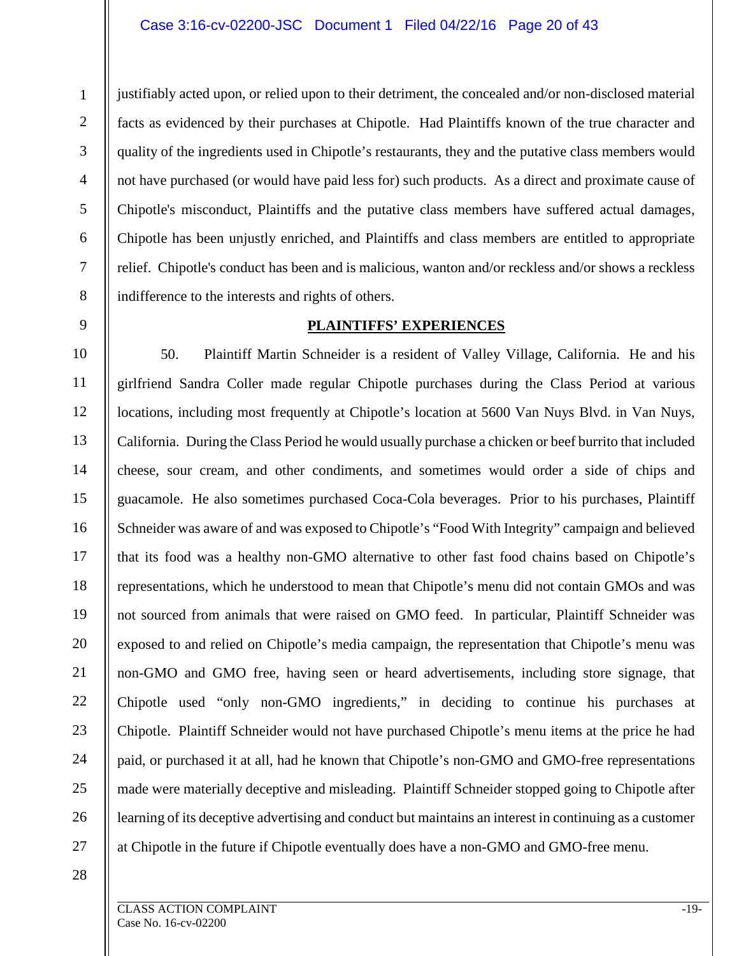#### Case 3:16-cv-02200-JSC Document 1 Filed 04/22/16 Page 20 of 43

justifiably acted upon, or relied upon to their detriment, the concealed and/or non-disclosed material facts as evidenced by their purchases at Chipotle. Had Plaintiffs known of the true character and quality of the ingredients used in Chipotle's restaurants, they and the putative class members would not have purchased (or would have paid less for) such products. As a direct and proximate cause of Chipotle's misconduct, Plaintiffs and the putative class members have suffered actual damages, Chipotle has been unjustly enriched, and Plaintiffs and class members are entitled to appropriate relief. Chipotle's conduct has been and is malicious, wanton and/or reckless and/or shows a reckless indifference to the interests and rights of others.

#### **PLAINTIFFS' EXPERIENCES**

10 11 12 13 14 15 16 17 18 19 20 21 22 23 24 25 26 27 50. Plaintiff Martin Schneider is a resident of Valley Village, California. He and his girlfriend Sandra Coller made regular Chipotle purchases during the Class Period at various locations, including most frequently at Chipotle's location at 5600 Van Nuys Blvd. in Van Nuys, California. During the Class Period he would usually purchase a chicken or beef burrito that included cheese, sour cream, and other condiments, and sometimes would order a side of chips and guacamole. He also sometimes purchased Coca-Cola beverages. Prior to his purchases, Plaintiff Schneider was aware of and was exposed to Chipotle's "Food With Integrity" campaign and believed that its food was a healthy non-GMO alternative to other fast food chains based on Chipotle's representations, which he understood to mean that Chipotle's menu did not contain GMOs and was not sourced from animals that were raised on GMO feed. In particular, Plaintiff Schneider was exposed to and relied on Chipotle's media campaign, the representation that Chipotle's menu was non-GMO and GMO free, having seen or heard advertisements, including store signage, that Chipotle used "only non-GMO ingredients," in deciding to continue his purchases at Chipotle. Plaintiff Schneider would not have purchased Chipotle's menu items at the price he had paid, or purchased it at all, had he known that Chipotle's non-GMO and GMO-free representations made were materially deceptive and misleading. Plaintiff Schneider stopped going to Chipotle after learning of its deceptive advertising and conduct but maintains an interest in continuing as a customer at Chipotle in the future if Chipotle eventually does have a non-GMO and GMO-free menu.

28

1

2

3

4

5

6

7

8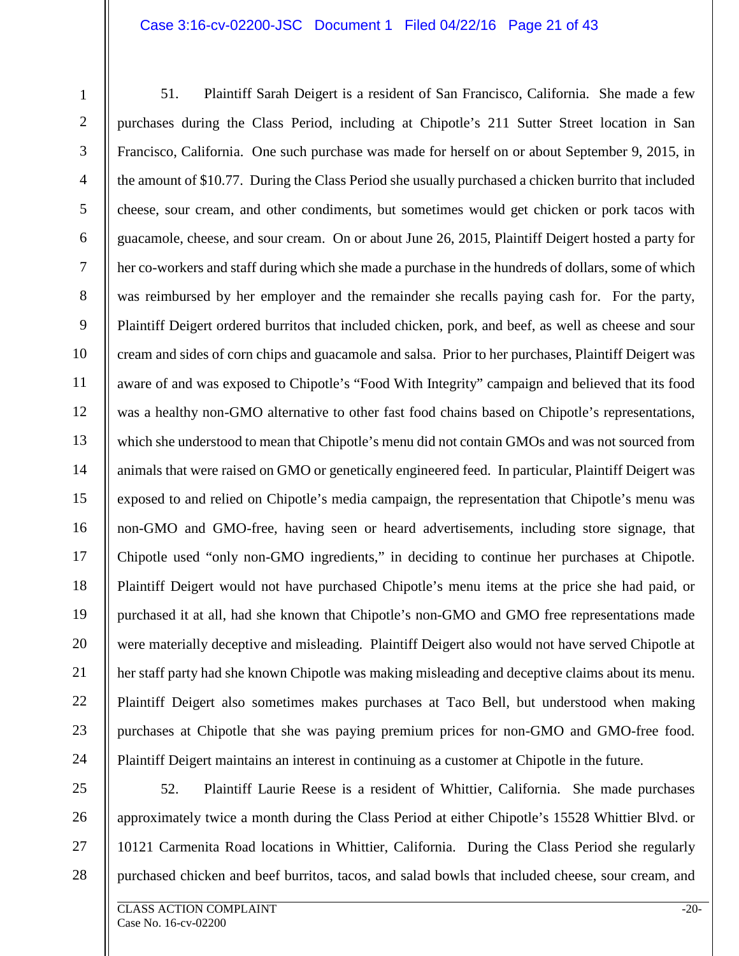#### Case 3:16-cv-02200-JSC Document 1 Filed 04/22/16 Page 21 of 43

1 2 3 4 5 6 7 8 9 10 11 12 13 14 15 16 17 18 19 20 21 22 23 24 51. Plaintiff Sarah Deigert is a resident of San Francisco, California. She made a few purchases during the Class Period, including at Chipotle's 211 Sutter Street location in San Francisco, California. One such purchase was made for herself on or about September 9, 2015, in the amount of \$10.77. During the Class Period she usually purchased a chicken burrito that included cheese, sour cream, and other condiments, but sometimes would get chicken or pork tacos with guacamole, cheese, and sour cream. On or about June 26, 2015, Plaintiff Deigert hosted a party for her co-workers and staff during which she made a purchase in the hundreds of dollars, some of which was reimbursed by her employer and the remainder she recalls paying cash for. For the party, Plaintiff Deigert ordered burritos that included chicken, pork, and beef, as well as cheese and sour cream and sides of corn chips and guacamole and salsa. Prior to her purchases, Plaintiff Deigert was aware of and was exposed to Chipotle's "Food With Integrity" campaign and believed that its food was a healthy non-GMO alternative to other fast food chains based on Chipotle's representations, which she understood to mean that Chipotle's menu did not contain GMOs and was not sourced from animals that were raised on GMO or genetically engineered feed. In particular, Plaintiff Deigert was exposed to and relied on Chipotle's media campaign, the representation that Chipotle's menu was non-GMO and GMO-free, having seen or heard advertisements, including store signage, that Chipotle used "only non-GMO ingredients," in deciding to continue her purchases at Chipotle. Plaintiff Deigert would not have purchased Chipotle's menu items at the price she had paid, or purchased it at all, had she known that Chipotle's non-GMO and GMO free representations made were materially deceptive and misleading. Plaintiff Deigert also would not have served Chipotle at her staff party had she known Chipotle was making misleading and deceptive claims about its menu. Plaintiff Deigert also sometimes makes purchases at Taco Bell, but understood when making purchases at Chipotle that she was paying premium prices for non-GMO and GMO-free food. Plaintiff Deigert maintains an interest in continuing as a customer at Chipotle in the future.

25 26

27 28

52. Plaintiff Laurie Reese is a resident of Whittier, California. She made purchases approximately twice a month during the Class Period at either Chipotle's 15528 Whittier Blvd. or 10121 Carmenita Road locations in Whittier, California. During the Class Period she regularly purchased chicken and beef burritos, tacos, and salad bowls that included cheese, sour cream, and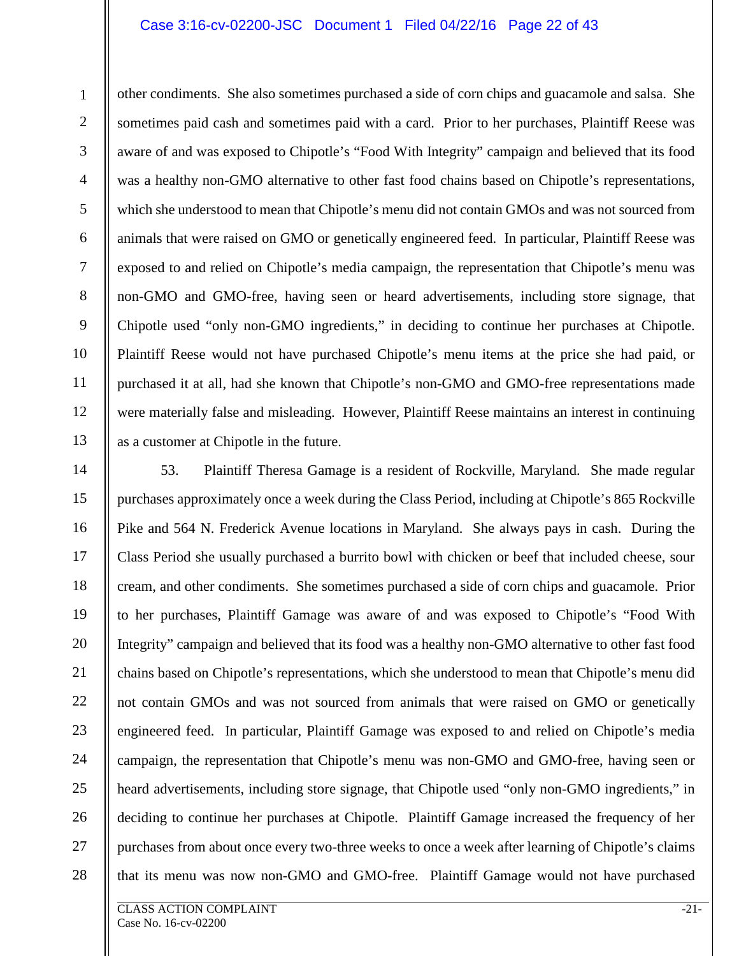#### Case 3:16-cv-02200-JSC Document 1 Filed 04/22/16 Page 22 of 43

9 13 other condiments. She also sometimes purchased a side of corn chips and guacamole and salsa. She sometimes paid cash and sometimes paid with a card. Prior to her purchases, Plaintiff Reese was aware of and was exposed to Chipotle's "Food With Integrity" campaign and believed that its food was a healthy non-GMO alternative to other fast food chains based on Chipotle's representations, which she understood to mean that Chipotle's menu did not contain GMOs and was not sourced from animals that were raised on GMO or genetically engineered feed. In particular, Plaintiff Reese was exposed to and relied on Chipotle's media campaign, the representation that Chipotle's menu was non-GMO and GMO-free, having seen or heard advertisements, including store signage, that Chipotle used "only non-GMO ingredients," in deciding to continue her purchases at Chipotle. Plaintiff Reese would not have purchased Chipotle's menu items at the price she had paid, or purchased it at all, had she known that Chipotle's non-GMO and GMO-free representations made were materially false and misleading. However, Plaintiff Reese maintains an interest in continuing as a customer at Chipotle in the future.

14 15 16 17 18 19 20 21 22 23 24 25 26 27 28 53. Plaintiff Theresa Gamage is a resident of Rockville, Maryland. She made regular purchases approximately once a week during the Class Period, including at Chipotle's 865 Rockville Pike and 564 N. Frederick Avenue locations in Maryland. She always pays in cash. During the Class Period she usually purchased a burrito bowl with chicken or beef that included cheese, sour cream, and other condiments. She sometimes purchased a side of corn chips and guacamole. Prior to her purchases, Plaintiff Gamage was aware of and was exposed to Chipotle's "Food With Integrity" campaign and believed that its food was a healthy non-GMO alternative to other fast food chains based on Chipotle's representations, which she understood to mean that Chipotle's menu did not contain GMOs and was not sourced from animals that were raised on GMO or genetically engineered feed. In particular, Plaintiff Gamage was exposed to and relied on Chipotle's media campaign, the representation that Chipotle's menu was non-GMO and GMO-free, having seen or heard advertisements, including store signage, that Chipotle used "only non-GMO ingredients," in deciding to continue her purchases at Chipotle. Plaintiff Gamage increased the frequency of her purchases from about once every two-three weeks to once a week after learning of Chipotle's claims that its menu was now non-GMO and GMO-free. Plaintiff Gamage would not have purchased

1

2

3

4

5

6

7

8

10

11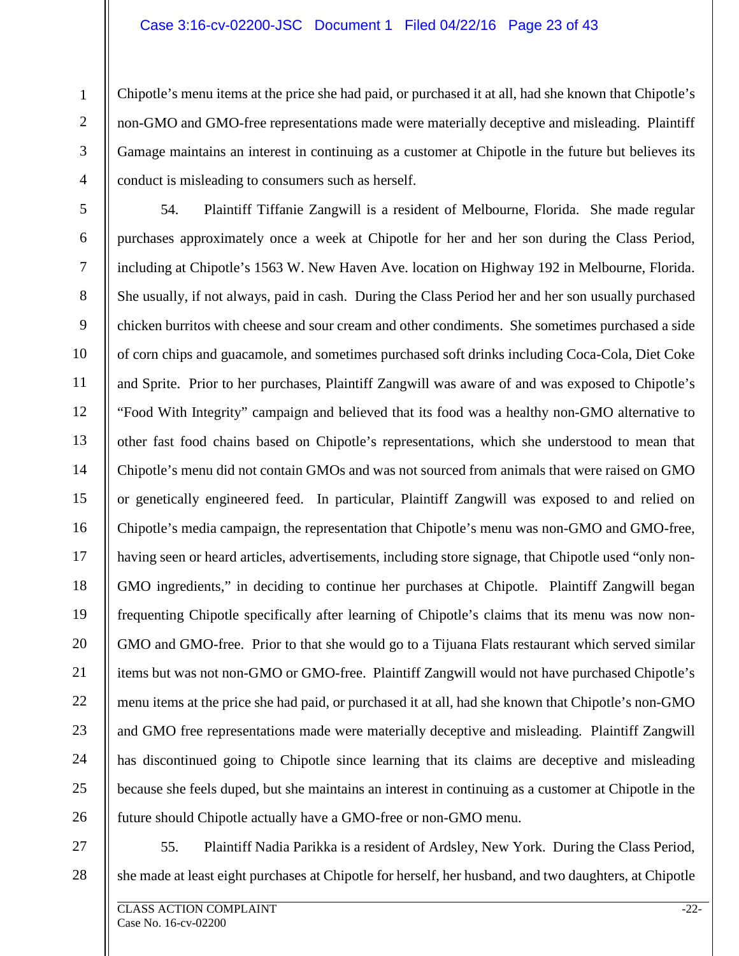#### Case 3:16-cv-02200-JSC Document 1 Filed 04/22/16 Page 23 of 43

Chipotle's menu items at the price she had paid, or purchased it at all, had she known that Chipotle's non-GMO and GMO-free representations made were materially deceptive and misleading. Plaintiff Gamage maintains an interest in continuing as a customer at Chipotle in the future but believes its conduct is misleading to consumers such as herself.

5 6 7 8 9 10 11 12 13 14 15 16 17 18 19 20 21 22 23 24 25 26 54. Plaintiff Tiffanie Zangwill is a resident of Melbourne, Florida. She made regular purchases approximately once a week at Chipotle for her and her son during the Class Period, including at Chipotle's 1563 W. New Haven Ave. location on Highway 192 in Melbourne, Florida. She usually, if not always, paid in cash. During the Class Period her and her son usually purchased chicken burritos with cheese and sour cream and other condiments. She sometimes purchased a side of corn chips and guacamole, and sometimes purchased soft drinks including Coca-Cola, Diet Coke and Sprite. Prior to her purchases, Plaintiff Zangwill was aware of and was exposed to Chipotle's "Food With Integrity" campaign and believed that its food was a healthy non-GMO alternative to other fast food chains based on Chipotle's representations, which she understood to mean that Chipotle's menu did not contain GMOs and was not sourced from animals that were raised on GMO or genetically engineered feed. In particular, Plaintiff Zangwill was exposed to and relied on Chipotle's media campaign, the representation that Chipotle's menu was non-GMO and GMO-free, having seen or heard articles, advertisements, including store signage, that Chipotle used "only non-GMO ingredients," in deciding to continue her purchases at Chipotle. Plaintiff Zangwill began frequenting Chipotle specifically after learning of Chipotle's claims that its menu was now non-GMO and GMO-free. Prior to that she would go to a Tijuana Flats restaurant which served similar items but was not non-GMO or GMO-free. Plaintiff Zangwill would not have purchased Chipotle's menu items at the price she had paid, or purchased it at all, had she known that Chipotle's non-GMO and GMO free representations made were materially deceptive and misleading. Plaintiff Zangwill has discontinued going to Chipotle since learning that its claims are deceptive and misleading because she feels duped, but she maintains an interest in continuing as a customer at Chipotle in the future should Chipotle actually have a GMO-free or non-GMO menu.

27

28

1

2

3

4

55. Plaintiff Nadia Parikka is a resident of Ardsley, New York. During the Class Period, she made at least eight purchases at Chipotle for herself, her husband, and two daughters, at Chipotle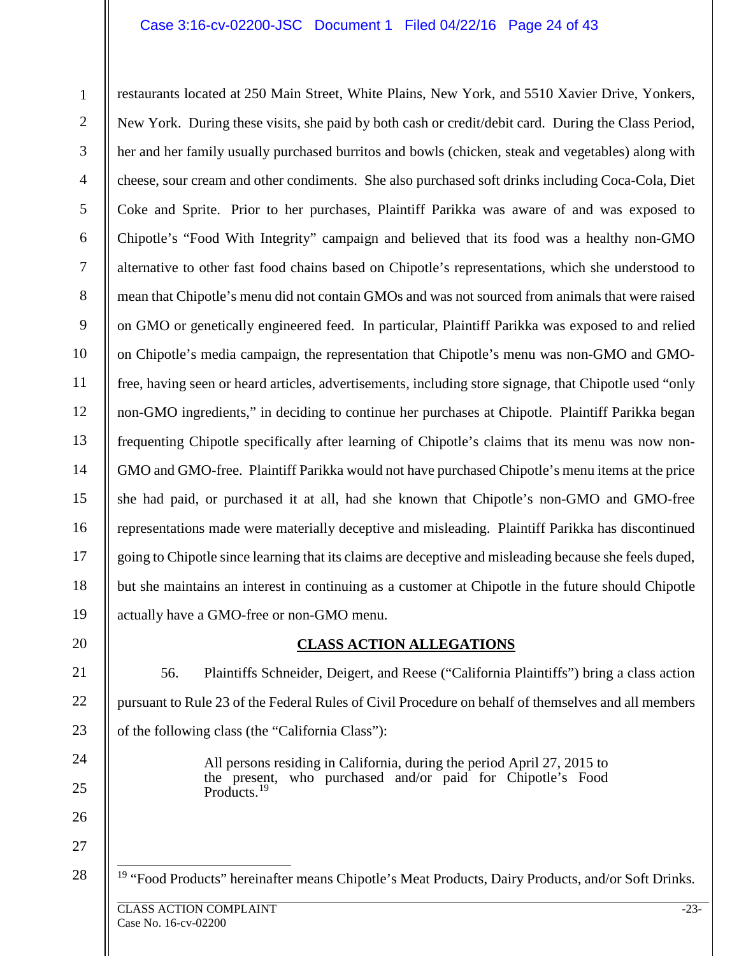#### Case 3:16-cv-02200-JSC Document 1 Filed 04/22/16 Page 24 of 43

1 2 3 4 5 6 7 8 9 10 11 12 13 14 15 16 17 18 19 20 restaurants located at 250 Main Street, White Plains, New York, and 5510 Xavier Drive, Yonkers, New York. During these visits, she paid by both cash or credit/debit card. During the Class Period, her and her family usually purchased burritos and bowls (chicken, steak and vegetables) along with cheese, sour cream and other condiments. She also purchased soft drinks including Coca-Cola, Diet Coke and Sprite. Prior to her purchases, Plaintiff Parikka was aware of and was exposed to Chipotle's "Food With Integrity" campaign and believed that its food was a healthy non-GMO alternative to other fast food chains based on Chipotle's representations, which she understood to mean that Chipotle's menu did not contain GMOs and was not sourced from animals that were raised on GMO or genetically engineered feed. In particular, Plaintiff Parikka was exposed to and relied on Chipotle's media campaign, the representation that Chipotle's menu was non-GMO and GMOfree, having seen or heard articles, advertisements, including store signage, that Chipotle used "only non-GMO ingredients," in deciding to continue her purchases at Chipotle. Plaintiff Parikka began frequenting Chipotle specifically after learning of Chipotle's claims that its menu was now non-GMO and GMO-free. Plaintiff Parikka would not have purchased Chipotle's menu items at the price she had paid, or purchased it at all, had she known that Chipotle's non-GMO and GMO-free representations made were materially deceptive and misleading. Plaintiff Parikka has discontinued going to Chipotle since learning that its claims are deceptive and misleading because she feels duped, but she maintains an interest in continuing as a customer at Chipotle in the future should Chipotle actually have a GMO-free or non-GMO menu.

#### **CLASS ACTION ALLEGATIONS**

21 22 23 56. Plaintiffs Schneider, Deigert, and Reese ("California Plaintiffs") bring a class action pursuant to Rule 23 of the Federal Rules of Civil Procedure on behalf of themselves and all members of the following class (the "California Class"):

> All persons residing in California, during the period April 27, 2015 to the present, who purchased and/or paid for Chipotle's Food Products.<sup>[19](#page-23-0)</sup>

<span id="page-23-0"></span>28 <sup>19</sup> "Food Products" hereinafter means Chipotle's Meat Products, Dairy Products, and/or Soft Drinks.

24

25

26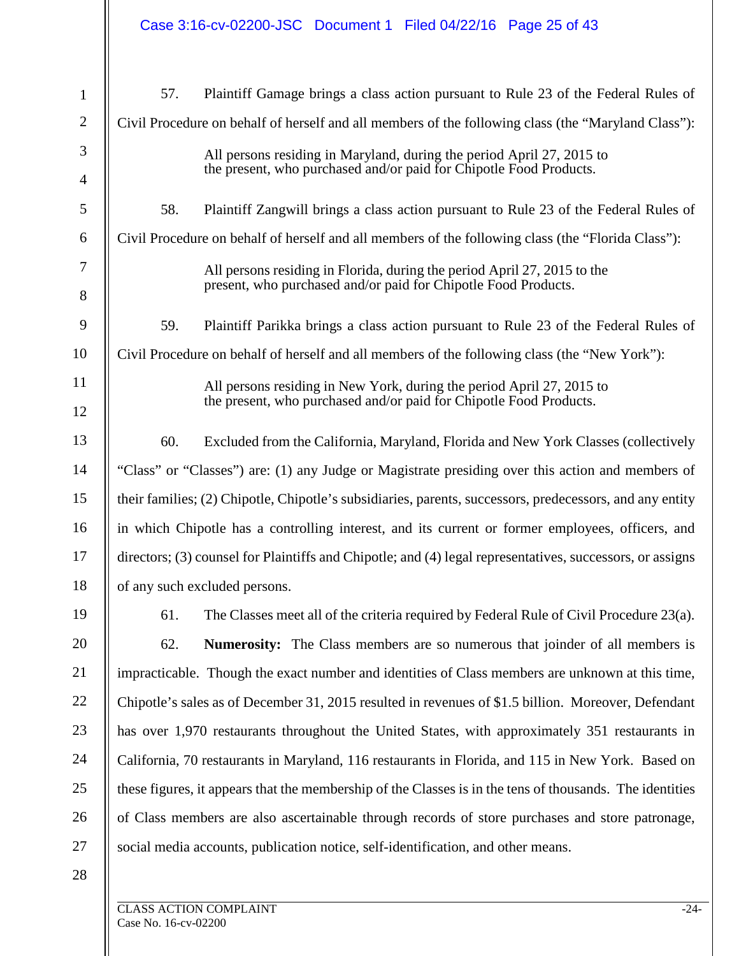|                |                                                                                                          | Case 3:16-cv-02200-JSC Document 1 Filed 04/22/16 Page 25 of 43                                                                             |  |
|----------------|----------------------------------------------------------------------------------------------------------|--------------------------------------------------------------------------------------------------------------------------------------------|--|
| $\mathbf{1}$   | 57.                                                                                                      | Plaintiff Gamage brings a class action pursuant to Rule 23 of the Federal Rules of                                                         |  |
| $\overline{2}$ |                                                                                                          | Civil Procedure on behalf of herself and all members of the following class (the "Maryland Class"):                                        |  |
| 3              |                                                                                                          | All persons residing in Maryland, during the period April 27, 2015 to                                                                      |  |
| 4              |                                                                                                          | the present, who purchased and/or paid for Chipotle Food Products.                                                                         |  |
| 5              | 58.                                                                                                      | Plaintiff Zangwill brings a class action pursuant to Rule 23 of the Federal Rules of                                                       |  |
| 6              | Civil Procedure on behalf of herself and all members of the following class (the "Florida Class"):       |                                                                                                                                            |  |
| 7<br>8         |                                                                                                          | All persons residing in Florida, during the period April 27, 2015 to the<br>present, who purchased and/or paid for Chipotle Food Products. |  |
| 9              | 59.                                                                                                      | Plaintiff Parikka brings a class action pursuant to Rule 23 of the Federal Rules of                                                        |  |
| 10             |                                                                                                          | Civil Procedure on behalf of herself and all members of the following class (the "New York"):                                              |  |
| 11             |                                                                                                          | All persons residing in New York, during the period April 27, 2015 to                                                                      |  |
| 12             |                                                                                                          | the present, who purchased and/or paid for Chipotle Food Products.                                                                         |  |
| 13             | 60.                                                                                                      | Excluded from the California, Maryland, Florida and New York Classes (collectively                                                         |  |
| 14             |                                                                                                          | "Class" or "Classes") are: (1) any Judge or Magistrate presiding over this action and members of                                           |  |
| 15             | their families; (2) Chipotle, Chipotle's subsidiaries, parents, successors, predecessors, and any entity |                                                                                                                                            |  |
| 16             |                                                                                                          | in which Chipotle has a controlling interest, and its current or former employees, officers, and                                           |  |
| 17             |                                                                                                          | directors; (3) counsel for Plaintiffs and Chipotle; and (4) legal representatives, successors, or assigns                                  |  |
| 18             |                                                                                                          | of any such excluded persons.                                                                                                              |  |
| 19             | 61.                                                                                                      | The Classes meet all of the criteria required by Federal Rule of Civil Procedure 23(a).                                                    |  |
| 20             | 62.                                                                                                      | Numerosity: The Class members are so numerous that joinder of all members is                                                               |  |
| 21             |                                                                                                          | impracticable. Though the exact number and identities of Class members are unknown at this time,                                           |  |
| 22             |                                                                                                          | Chipotle's sales as of December 31, 2015 resulted in revenues of \$1.5 billion. Moreover, Defendant                                        |  |
| 23             | has over 1,970 restaurants throughout the United States, with approximately 351 restaurants in           |                                                                                                                                            |  |
| 24             | California, 70 restaurants in Maryland, 116 restaurants in Florida, and 115 in New York. Based on        |                                                                                                                                            |  |
| 25             |                                                                                                          | these figures, it appears that the membership of the Classes is in the tens of thousands. The identities                                   |  |
| 26             |                                                                                                          | of Class members are also ascertainable through records of store purchases and store patronage,                                            |  |
| 27             |                                                                                                          | social media accounts, publication notice, self-identification, and other means.                                                           |  |
| 28             |                                                                                                          |                                                                                                                                            |  |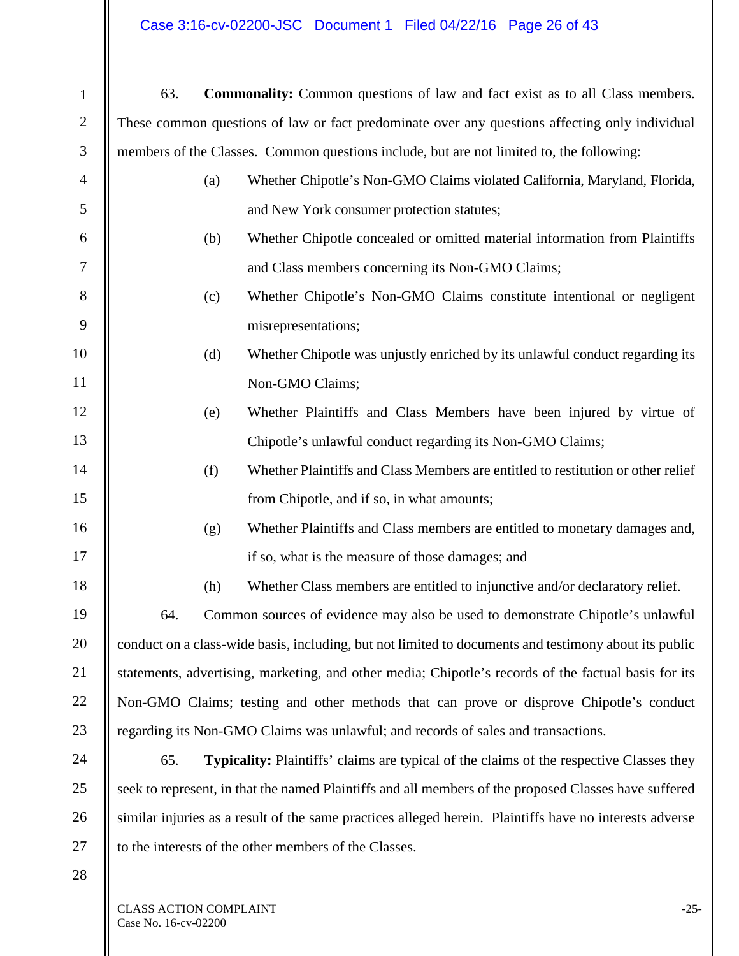# Case 3:16-cv-02200-JSC Document 1 Filed 04/22/16 Page 26 of 43

| $\mathbf{1}$   | <b>Commonality:</b> Common questions of law and fact exist as to all Class members.<br>63.              |  |                                                       |
|----------------|---------------------------------------------------------------------------------------------------------|--|-------------------------------------------------------|
| $\overline{2}$ | These common questions of law or fact predominate over any questions affecting only individual          |  |                                                       |
| 3              | members of the Classes. Common questions include, but are not limited to, the following:                |  |                                                       |
| $\overline{4}$ | Whether Chipotle's Non-GMO Claims violated California, Maryland, Florida,<br>(a)                        |  |                                                       |
| 5              | and New York consumer protection statutes;                                                              |  |                                                       |
| 6              | Whether Chipotle concealed or omitted material information from Plaintiffs<br>(b)                       |  |                                                       |
| $\tau$         | and Class members concerning its Non-GMO Claims;                                                        |  |                                                       |
| $8\,$          | Whether Chipotle's Non-GMO Claims constitute intentional or negligent<br>(c)                            |  |                                                       |
| 9              | misrepresentations;                                                                                     |  |                                                       |
| 10             | Whether Chipotle was unjustly enriched by its unlawful conduct regarding its<br>(d)                     |  |                                                       |
| 11             | Non-GMO Claims;                                                                                         |  |                                                       |
| 12             | Whether Plaintiffs and Class Members have been injured by virtue of<br>(e)                              |  |                                                       |
| 13             | Chipotle's unlawful conduct regarding its Non-GMO Claims;                                               |  |                                                       |
| 14             | Whether Plaintiffs and Class Members are entitled to restitution or other relief<br>(f)                 |  |                                                       |
| 15             | from Chipotle, and if so, in what amounts;                                                              |  |                                                       |
| 16             | Whether Plaintiffs and Class members are entitled to monetary damages and,<br>(g)                       |  |                                                       |
| 17             | if so, what is the measure of those damages; and                                                        |  |                                                       |
| 18             | Whether Class members are entitled to injunctive and/or declaratory relief.<br>(h)                      |  |                                                       |
| 19             | Common sources of evidence may also be used to demonstrate Chipotle's unlawful<br>64.                   |  |                                                       |
| 20             | conduct on a class-wide basis, including, but not limited to documents and testimony about its public   |  |                                                       |
| 21             | statements, advertising, marketing, and other media; Chipotle's records of the factual basis for its    |  |                                                       |
| 22             | Non-GMO Claims; testing and other methods that can prove or disprove Chipotle's conduct                 |  |                                                       |
| 23             | regarding its Non-GMO Claims was unlawful; and records of sales and transactions.                       |  |                                                       |
| 24             | <b>Typicality:</b> Plaintiffs' claims are typical of the claims of the respective Classes they<br>65.   |  |                                                       |
| 25             | seek to represent, in that the named Plaintiffs and all members of the proposed Classes have suffered   |  |                                                       |
| 26             | similar injuries as a result of the same practices alleged herein. Plaintiffs have no interests adverse |  |                                                       |
| 27             |                                                                                                         |  | to the interests of the other members of the Classes. |
| 28             |                                                                                                         |  |                                                       |
|                | <b>CLASS ACTION COMPLAINT</b>                                                                           |  | $-25-$                                                |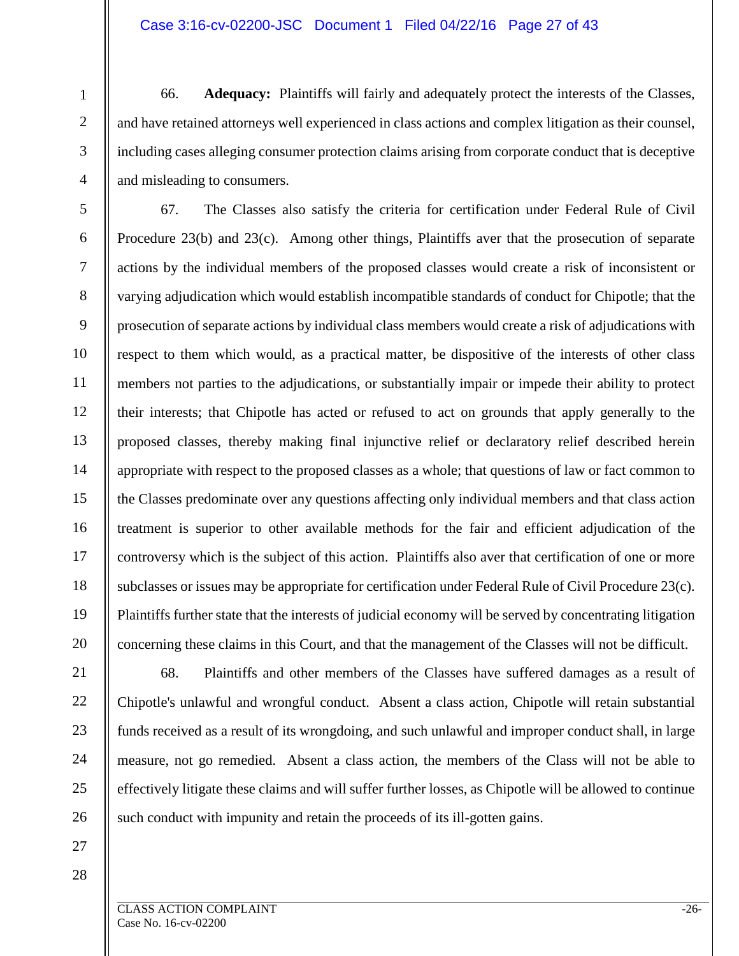#### Case 3:16-cv-02200-JSC Document 1 Filed 04/22/16 Page 27 of 43

66. **Adequacy:** Plaintiffs will fairly and adequately protect the interests of the Classes, and have retained attorneys well experienced in class actions and complex litigation as their counsel, including cases alleging consumer protection claims arising from corporate conduct that is deceptive and misleading to consumers.

14 15 16 18 67. The Classes also satisfy the criteria for certification under Federal Rule of Civil Procedure 23(b) and 23(c). Among other things, Plaintiffs aver that the prosecution of separate actions by the individual members of the proposed classes would create a risk of inconsistent or varying adjudication which would establish incompatible standards of conduct for Chipotle; that the prosecution of separate actions by individual class members would create a risk of adjudications with respect to them which would, as a practical matter, be dispositive of the interests of other class members not parties to the adjudications, or substantially impair or impede their ability to protect their interests; that Chipotle has acted or refused to act on grounds that apply generally to the proposed classes, thereby making final injunctive relief or declaratory relief described herein appropriate with respect to the proposed classes as a whole; that questions of law or fact common to the Classes predominate over any questions affecting only individual members and that class action treatment is superior to other available methods for the fair and efficient adjudication of the controversy which is the subject of this action. Plaintiffs also aver that certification of one or more subclasses or issues may be appropriate for certification under Federal Rule of Civil Procedure 23(c). Plaintiffs further state that the interests of judicial economy will be served by concentrating litigation concerning these claims in this Court, and that the management of the Classes will not be difficult.

1

2

3

4

5

6

7

8

9

10

11

12

13

17

19

20

68. Plaintiffs and other members of the Classes have suffered damages as a result of Chipotle's unlawful and wrongful conduct. Absent a class action, Chipotle will retain substantial funds received as a result of its wrongdoing, and such unlawful and improper conduct shall, in large measure, not go remedied. Absent a class action, the members of the Class will not be able to effectively litigate these claims and will suffer further losses, as Chipotle will be allowed to continue such conduct with impunity and retain the proceeds of its ill-gotten gains.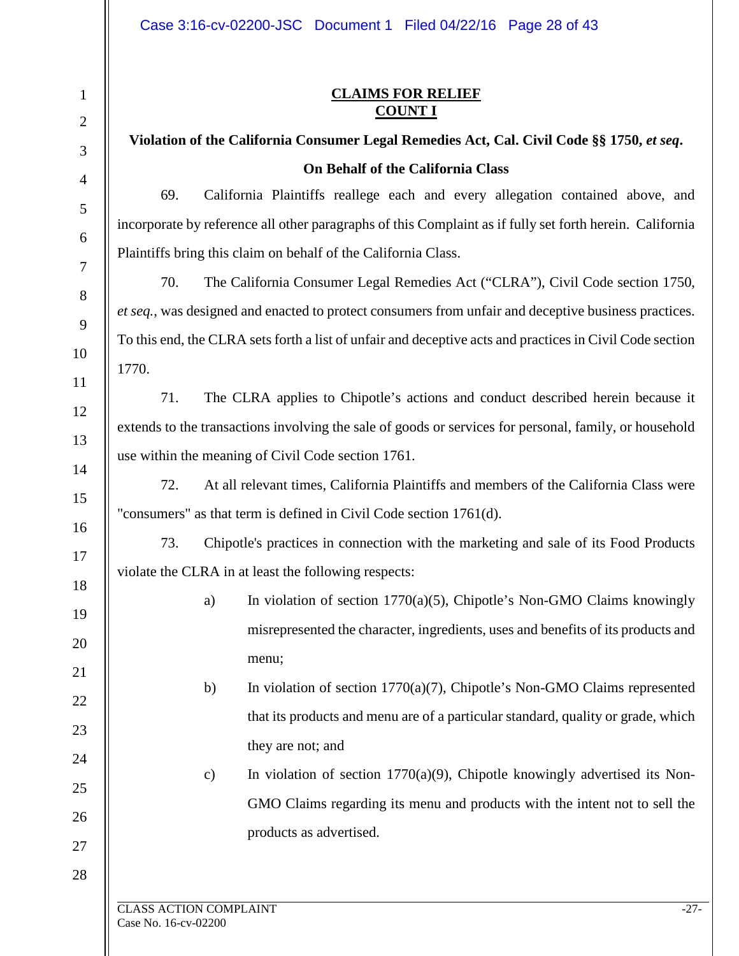### **CLAIMS FOR RELIEF COUNT I**

# **Violation of the California Consumer Legal Remedies Act, Cal. Civil Code §§ 1750,** *et seq***. On Behalf of the California Class**

69. California Plaintiffs reallege each and every allegation contained above, and incorporate by reference all other paragraphs of this Complaint as if fully set forth herein. California Plaintiffs bring this claim on behalf of the California Class.

70. The California Consumer Legal Remedies Act ("CLRA"), Civil Code section 1750, *et seq.*, was designed and enacted to protect consumers from unfair and deceptive business practices. To this end, the CLRA sets forth a list of unfair and deceptive acts and practices in Civil Code section 1770.

71. The CLRA applies to Chipotle's actions and conduct described herein because it extends to the transactions involving the sale of goods or services for personal, family, or household use within the meaning of Civil Code section 1761.

72. At all relevant times, California Plaintiffs and members of the California Class were "consumers" as that term is defined in Civil Code section 1761(d).

73. Chipotle's practices in connection with the marketing and sale of its Food Products violate the CLRA in at least the following respects:

> a) In violation of section 1770(a)(5), Chipotle's Non-GMO Claims knowingly misrepresented the character, ingredients, uses and benefits of its products and menu;

> b) In violation of section 1770(a)(7), Chipotle's Non-GMO Claims represented that its products and menu are of a particular standard, quality or grade, which they are not; and

> c) In violation of section 1770(a)(9), Chipotle knowingly advertised its Non-GMO Claims regarding its menu and products with the intent not to sell the products as advertised.

# 10 11 12 13 14 15 16 17 18 19 20 21 22 23 24 25 26 27 28

1

2

3

4

5

6

7

8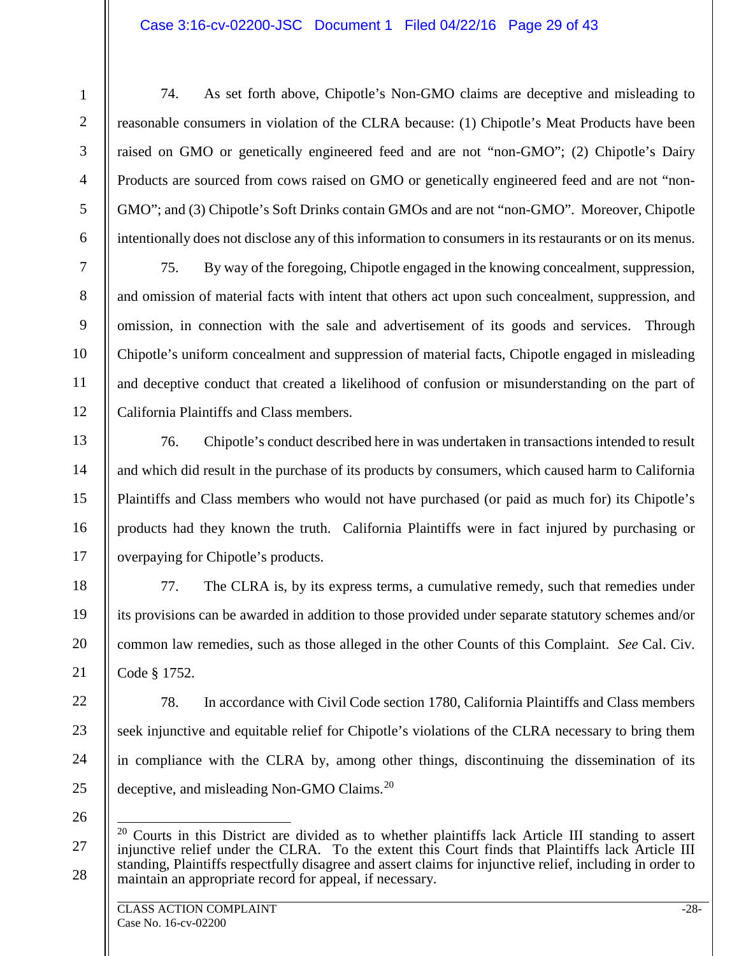#### Case 3:16-cv-02200-JSC Document 1 Filed 04/22/16 Page 29 of 43

74. As set forth above, Chipotle's Non-GMO claims are deceptive and misleading to reasonable consumers in violation of the CLRA because: (1) Chipotle's Meat Products have been raised on GMO or genetically engineered feed and are not "non-GMO"; (2) Chipotle's Dairy Products are sourced from cows raised on GMO or genetically engineered feed and are not "non-GMO"; and (3) Chipotle's Soft Drinks contain GMOs and are not "non-GMO". Moreover, Chipotle intentionally does not disclose any of this information to consumers in its restaurants or on its menus.

75. By way of the foregoing, Chipotle engaged in the knowing concealment, suppression, and omission of material facts with intent that others act upon such concealment, suppression, and omission, in connection with the sale and advertisement of its goods and services. Through Chipotle's uniform concealment and suppression of material facts, Chipotle engaged in misleading and deceptive conduct that created a likelihood of confusion or misunderstanding on the part of California Plaintiffs and Class members.

76. Chipotle's conduct described here in was undertaken in transactions intended to result and which did result in the purchase of its products by consumers, which caused harm to California Plaintiffs and Class members who would not have purchased (or paid as much for) its Chipotle's products had they known the truth. California Plaintiffs were in fact injured by purchasing or overpaying for Chipotle's products.

77. The CLRA is, by its express terms, a cumulative remedy, such that remedies under its provisions can be awarded in addition to those provided under separate statutory schemes and/or common law remedies, such as those alleged in the other Counts of this Complaint. *See* Cal. Civ. Code § 1752.

22 23 24 25 78. In accordance with Civil Code section 1780, California Plaintiffs and Class members seek injunctive and equitable relief for Chipotle's violations of the CLRA necessary to bring them in compliance with the CLRA by, among other things, discontinuing the dissemination of its deceptive, and misleading Non-GMO Claims.<sup>[20](#page-28-0)</sup>

26

1

2

3

4

5

6

7

8

9

10

11

12

13

14

15

16

17

18

19

20

<span id="page-28-0"></span><sup>27</sup> 28 <sup>20</sup> Courts in this District are divided as to whether plaintiffs lack Article III standing to assert injunctive relief under the CLRA. To the extent this Court finds that Plaintiffs lack Article III standing, Plaintiffs respectfully disagree and assert claims for injunctive relief, including in order to maintain an appropriate record for appeal, if necessary.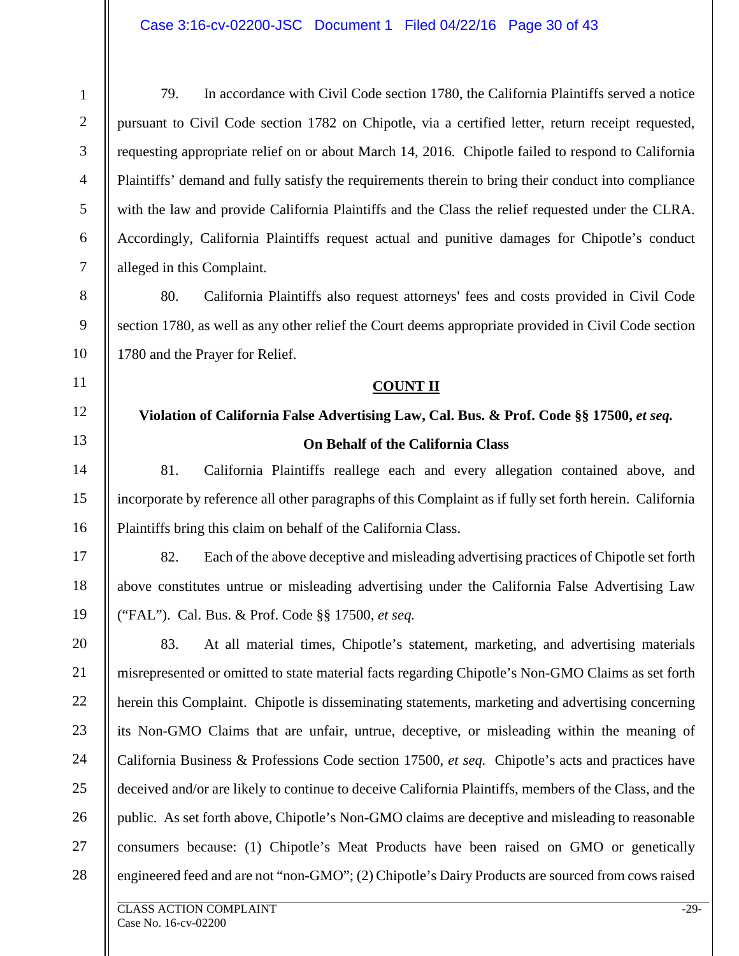#### Case 3:16-cv-02200-JSC Document 1 Filed 04/22/16 Page 30 of 43

79. In accordance with Civil Code section 1780, the California Plaintiffs served a notice pursuant to Civil Code section 1782 on Chipotle, via a certified letter, return receipt requested, requesting appropriate relief on or about March 14, 2016. Chipotle failed to respond to California Plaintiffs' demand and fully satisfy the requirements therein to bring their conduct into compliance with the law and provide California Plaintiffs and the Class the relief requested under the CLRA. Accordingly, California Plaintiffs request actual and punitive damages for Chipotle's conduct alleged in this Complaint.

80. California Plaintiffs also request attorneys' fees and costs provided in Civil Code section 1780, as well as any other relief the Court deems appropriate provided in Civil Code section 1780 and the Prayer for Relief.

#### **COUNT II**

# **Violation of California False Advertising Law, Cal. Bus. & Prof. Code §§ 17500,** *et seq.* **On Behalf of the California Class**

81. California Plaintiffs reallege each and every allegation contained above, and incorporate by reference all other paragraphs of this Complaint as if fully set forth herein. California Plaintiffs bring this claim on behalf of the California Class.

82. Each of the above deceptive and misleading advertising practices of Chipotle set forth above constitutes untrue or misleading advertising under the California False Advertising Law ("FAL"). Cal. Bus. & Prof. Code §§ 17500, *et seq.*

20 21 22 23 24 25 26 27 28 83. At all material times, Chipotle's statement, marketing, and advertising materials misrepresented or omitted to state material facts regarding Chipotle's Non-GMO Claims as set forth herein this Complaint. Chipotle is disseminating statements, marketing and advertising concerning its Non-GMO Claims that are unfair, untrue, deceptive, or misleading within the meaning of California Business & Professions Code section 17500, *et seq.* Chipotle's acts and practices have deceived and/or are likely to continue to deceive California Plaintiffs, members of the Class, and the public. As set forth above, Chipotle's Non-GMO claims are deceptive and misleading to reasonable consumers because: (1) Chipotle's Meat Products have been raised on GMO or genetically engineered feed and are not "non-GMO"; (2) Chipotle's Dairy Products are sourced from cows raised

1

2

3

4

5

6

7

8

9

10

11

12

13

14

15

16

17

18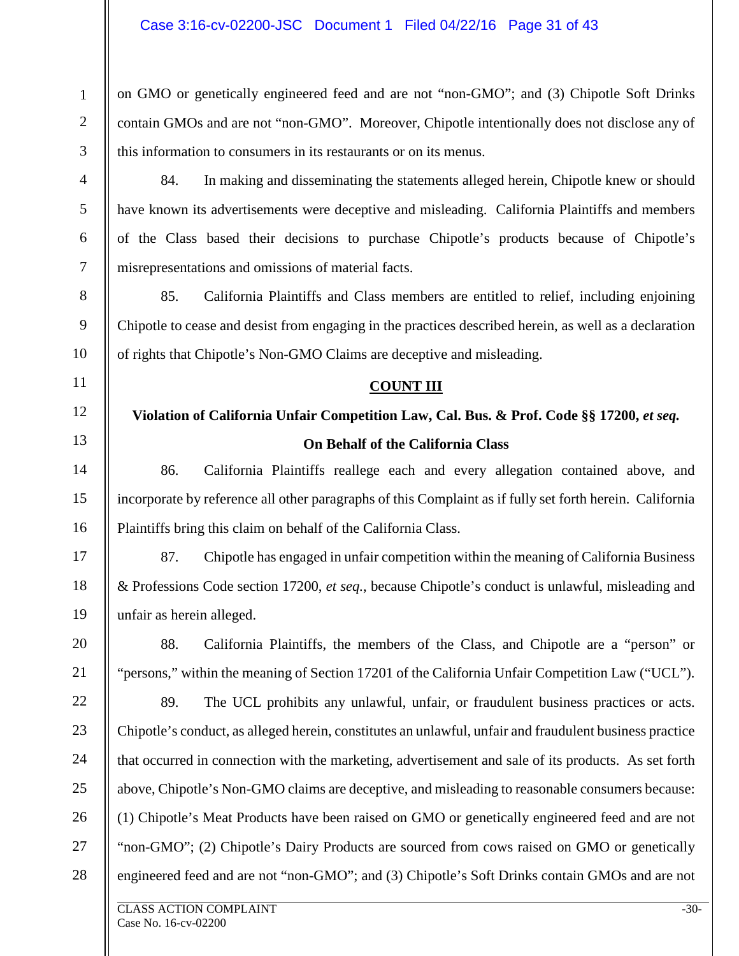on GMO or genetically engineered feed and are not "non-GMO"; and (3) Chipotle Soft Drinks contain GMOs and are not "non-GMO". Moreover, Chipotle intentionally does not disclose any of this information to consumers in its restaurants or on its menus.

84. In making and disseminating the statements alleged herein, Chipotle knew or should have known its advertisements were deceptive and misleading. California Plaintiffs and members of the Class based their decisions to purchase Chipotle's products because of Chipotle's misrepresentations and omissions of material facts.

85. California Plaintiffs and Class members are entitled to relief, including enjoining Chipotle to cease and desist from engaging in the practices described herein, as well as a declaration of rights that Chipotle's Non-GMO Claims are deceptive and misleading.

#### **COUNT III**

# **Violation of California Unfair Competition Law, Cal. Bus. & Prof. Code §§ 17200,** *et seq.* **On Behalf of the California Class**

86. California Plaintiffs reallege each and every allegation contained above, and incorporate by reference all other paragraphs of this Complaint as if fully set forth herein. California Plaintiffs bring this claim on behalf of the California Class.

87. Chipotle has engaged in unfair competition within the meaning of California Business & Professions Code section 17200, *et seq.*, because Chipotle's conduct is unlawful, misleading and unfair as herein alleged.

88. California Plaintiffs, the members of the Class, and Chipotle are a "person" or "persons," within the meaning of Section 17201 of the California Unfair Competition Law ("UCL").

22 23 24 25 89. The UCL prohibits any unlawful, unfair, or fraudulent business practices or acts. Chipotle's conduct, as alleged herein, constitutes an unlawful, unfair and fraudulent business practice that occurred in connection with the marketing, advertisement and sale of its products. As set forth above, Chipotle's Non-GMO claims are deceptive, and misleading to reasonable consumers because: (1) Chipotle's Meat Products have been raised on GMO or genetically engineered feed and are not "non-GMO"; (2) Chipotle's Dairy Products are sourced from cows raised on GMO or genetically engineered feed and are not "non-GMO"; and (3) Chipotle's Soft Drinks contain GMOs and are not

1

2

3

4

5

6

7

8

9

10

11

12

13

14

15

16

17

18

19

20

21

26

27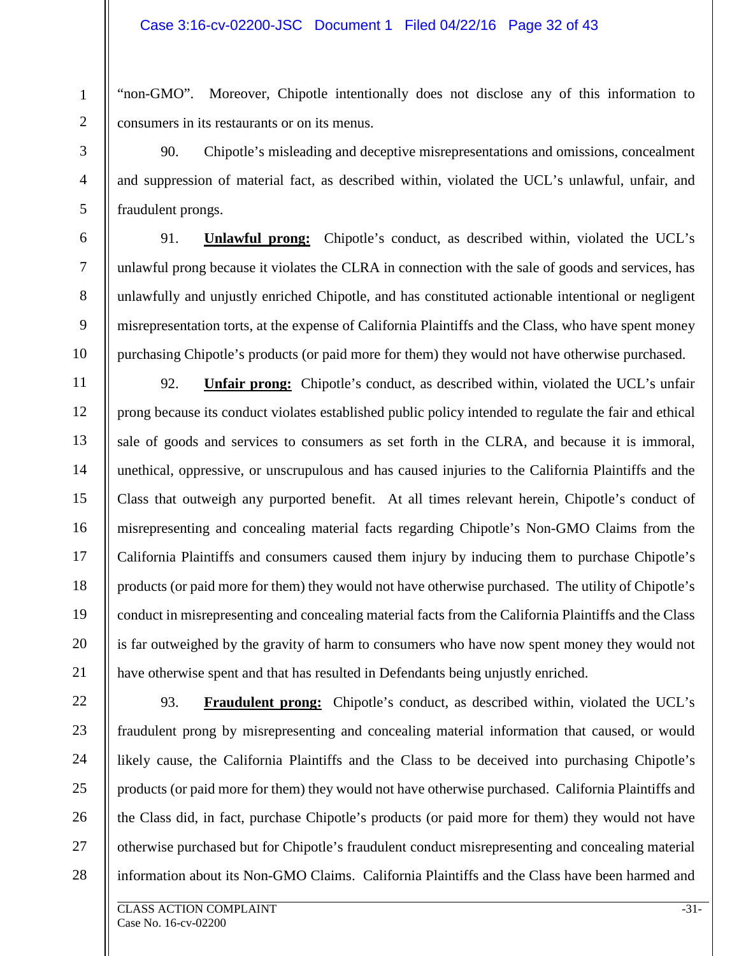"non-GMO". Moreover, Chipotle intentionally does not disclose any of this information to consumers in its restaurants or on its menus.

90. Chipotle's misleading and deceptive misrepresentations and omissions, concealment and suppression of material fact, as described within, violated the UCL's unlawful, unfair, and fraudulent prongs.

91. **Unlawful prong:** Chipotle's conduct, as described within, violated the UCL's unlawful prong because it violates the CLRA in connection with the sale of goods and services, has unlawfully and unjustly enriched Chipotle, and has constituted actionable intentional or negligent misrepresentation torts, at the expense of California Plaintiffs and the Class, who have spent money purchasing Chipotle's products (or paid more for them) they would not have otherwise purchased.

12 13 14 15 16 17 18 19 20 92. **Unfair prong:** Chipotle's conduct, as described within, violated the UCL's unfair prong because its conduct violates established public policy intended to regulate the fair and ethical sale of goods and services to consumers as set forth in the CLRA, and because it is immoral, unethical, oppressive, or unscrupulous and has caused injuries to the California Plaintiffs and the Class that outweigh any purported benefit. At all times relevant herein, Chipotle's conduct of misrepresenting and concealing material facts regarding Chipotle's Non-GMO Claims from the California Plaintiffs and consumers caused them injury by inducing them to purchase Chipotle's products (or paid more for them) they would not have otherwise purchased. The utility of Chipotle's conduct in misrepresenting and concealing material facts from the California Plaintiffs and the Class is far outweighed by the gravity of harm to consumers who have now spent money they would not have otherwise spent and that has resulted in Defendants being unjustly enriched.

22 23 24 25 26 27 28 93. **Fraudulent prong:** Chipotle's conduct, as described within, violated the UCL's fraudulent prong by misrepresenting and concealing material information that caused, or would likely cause, the California Plaintiffs and the Class to be deceived into purchasing Chipotle's products (or paid more for them) they would not have otherwise purchased. California Plaintiffs and the Class did, in fact, purchase Chipotle's products (or paid more for them) they would not have otherwise purchased but for Chipotle's fraudulent conduct misrepresenting and concealing material information about its Non-GMO Claims. California Plaintiffs and the Class have been harmed and

1

2

3

4

5

6

7

8

9

10

11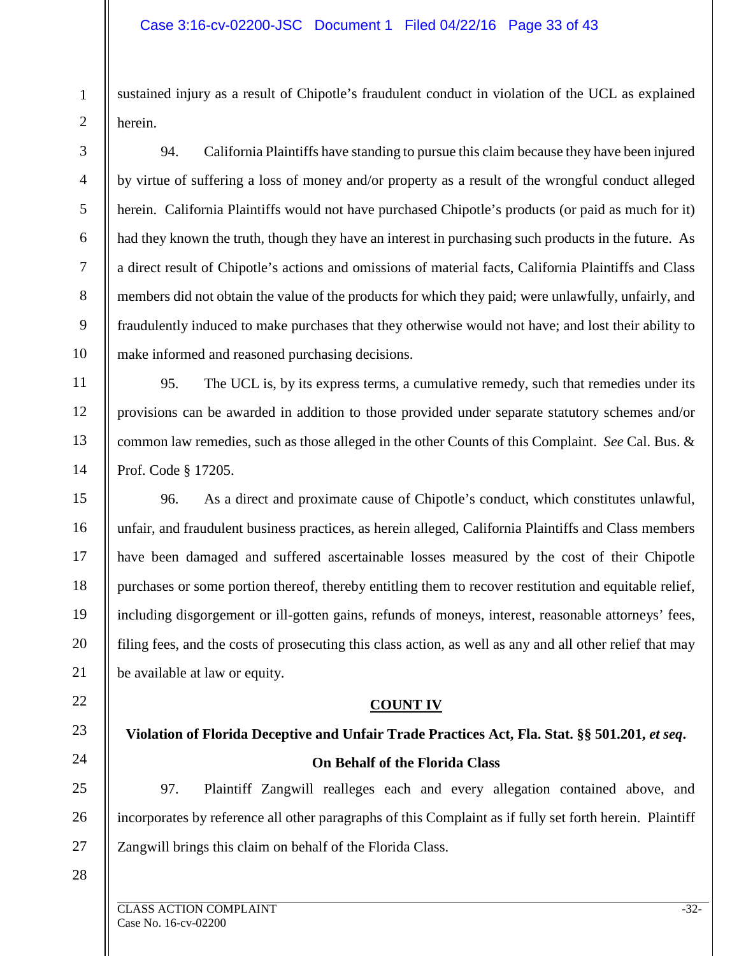sustained injury as a result of Chipotle's fraudulent conduct in violation of the UCL as explained herein.

94. California Plaintiffs have standing to pursue this claim because they have been injured by virtue of suffering a loss of money and/or property as a result of the wrongful conduct alleged herein. California Plaintiffs would not have purchased Chipotle's products (or paid as much for it) had they known the truth, though they have an interest in purchasing such products in the future. As a direct result of Chipotle's actions and omissions of material facts, California Plaintiffs and Class members did not obtain the value of the products for which they paid; were unlawfully, unfairly, and fraudulently induced to make purchases that they otherwise would not have; and lost their ability to make informed and reasoned purchasing decisions.

95. The UCL is, by its express terms, a cumulative remedy, such that remedies under its provisions can be awarded in addition to those provided under separate statutory schemes and/or common law remedies, such as those alleged in the other Counts of this Complaint. *See* Cal. Bus. & Prof. Code § 17205.

15 16 17 18 19 20 96. As a direct and proximate cause of Chipotle's conduct, which constitutes unlawful, unfair, and fraudulent business practices, as herein alleged, California Plaintiffs and Class members have been damaged and suffered ascertainable losses measured by the cost of their Chipotle purchases or some portion thereof, thereby entitling them to recover restitution and equitable relief, including disgorgement or ill-gotten gains, refunds of moneys, interest, reasonable attorneys' fees, filing fees, and the costs of prosecuting this class action, as well as any and all other relief that may be available at law or equity.

#### **COUNT IV**

**Violation of Florida Deceptive and Unfair Trade Practices Act, Fla. Stat. §§ 501.201,** *et seq***. On Behalf of the Florida Class**

25 26 27 97. Plaintiff Zangwill realleges each and every allegation contained above, and incorporates by reference all other paragraphs of this Complaint as if fully set forth herein. Plaintiff Zangwill brings this claim on behalf of the Florida Class.

28

21

22

23

24

1

2

3

4

5

6

7

8

9

10

11

12

13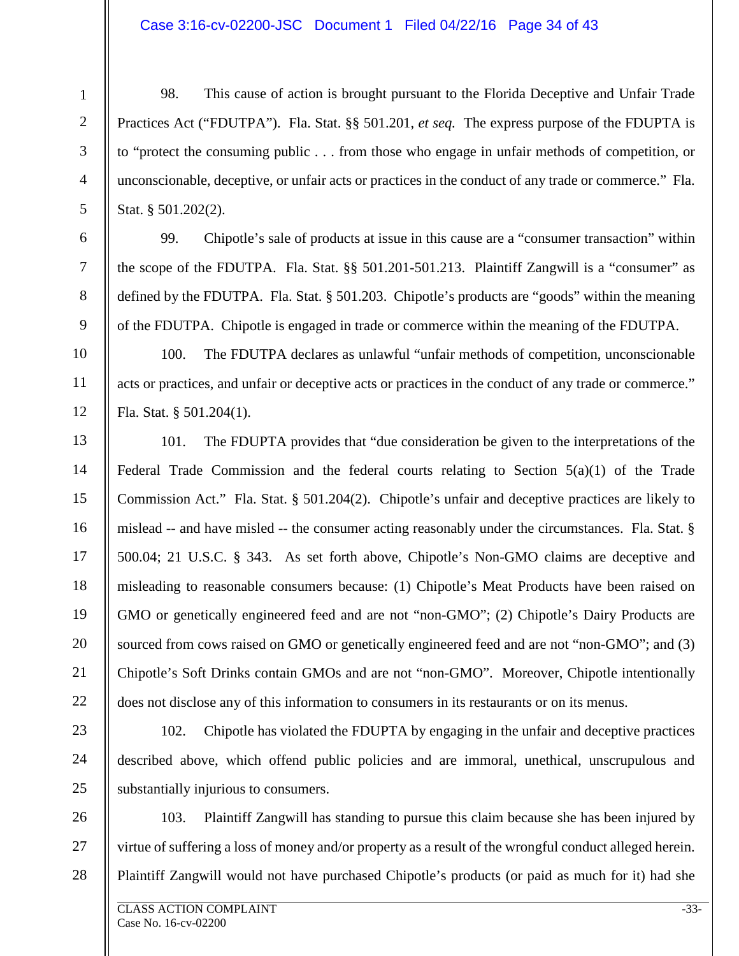#### Case 3:16-cv-02200-JSC Document 1 Filed 04/22/16 Page 34 of 43

98. This cause of action is brought pursuant to the Florida Deceptive and Unfair Trade Practices Act ("FDUTPA"). Fla. Stat. §§ 501.201, *et seq.* The express purpose of the FDUPTA is to "protect the consuming public . . . from those who engage in unfair methods of competition, or unconscionable, deceptive, or unfair acts or practices in the conduct of any trade or commerce." Fla. Stat. § 501.202(2).

99. Chipotle's sale of products at issue in this cause are a "consumer transaction" within the scope of the FDUTPA. Fla. Stat. §§ 501.201-501.213. Plaintiff Zangwill is a "consumer" as defined by the FDUTPA. Fla. Stat. § 501.203. Chipotle's products are "goods" within the meaning of the FDUTPA. Chipotle is engaged in trade or commerce within the meaning of the FDUTPA.

100. The FDUTPA declares as unlawful "unfair methods of competition, unconscionable acts or practices, and unfair or deceptive acts or practices in the conduct of any trade or commerce." Fla. Stat. § 501.204(1).

101. The FDUPTA provides that "due consideration be given to the interpretations of the Federal Trade Commission and the federal courts relating to Section 5(a)(1) of the Trade Commission Act." Fla. Stat. § 501.204(2). Chipotle's unfair and deceptive practices are likely to mislead -- and have misled -- the consumer acting reasonably under the circumstances. Fla. Stat. § 500.04; 21 U.S.C. § 343. As set forth above, Chipotle's Non-GMO claims are deceptive and misleading to reasonable consumers because: (1) Chipotle's Meat Products have been raised on GMO or genetically engineered feed and are not "non-GMO"; (2) Chipotle's Dairy Products are sourced from cows raised on GMO or genetically engineered feed and are not "non-GMO"; and (3) Chipotle's Soft Drinks contain GMOs and are not "non-GMO". Moreover, Chipotle intentionally does not disclose any of this information to consumers in its restaurants or on its menus.

23 24 25 102. Chipotle has violated the FDUPTA by engaging in the unfair and deceptive practices described above, which offend public policies and are immoral, unethical, unscrupulous and substantially injurious to consumers.

26 27 28 103. Plaintiff Zangwill has standing to pursue this claim because she has been injured by virtue of suffering a loss of money and/or property as a result of the wrongful conduct alleged herein. Plaintiff Zangwill would not have purchased Chipotle's products (or paid as much for it) had she

1

2

3

4

5

6

7

8

9

10

11

12

13

14

15

16

17

18

19

20

21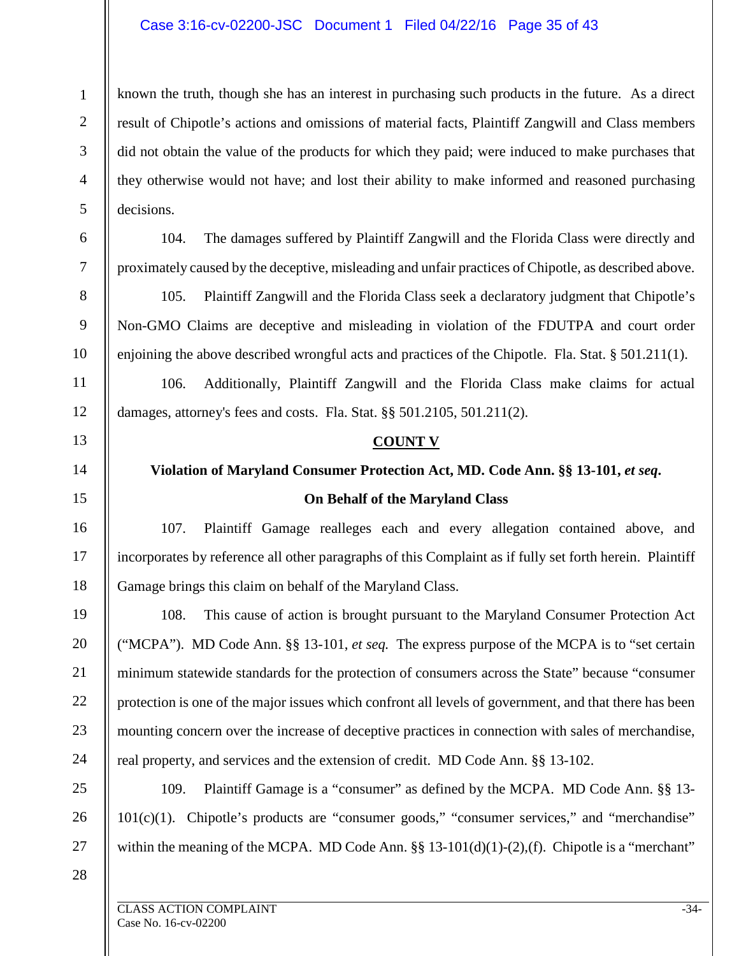#### Case 3:16-cv-02200-JSC Document 1 Filed 04/22/16 Page 35 of 43

known the truth, though she has an interest in purchasing such products in the future. As a direct result of Chipotle's actions and omissions of material facts, Plaintiff Zangwill and Class members did not obtain the value of the products for which they paid; were induced to make purchases that they otherwise would not have; and lost their ability to make informed and reasoned purchasing decisions.

6 7

1

2

3

4

5

8

9

10

11

12

13

14

15

16

17

18

19

20

21

22

23

24

25

26

27

104. The damages suffered by Plaintiff Zangwill and the Florida Class were directly and proximately caused by the deceptive, misleading and unfair practices of Chipotle, as described above.

105. Plaintiff Zangwill and the Florida Class seek a declaratory judgment that Chipotle's Non-GMO Claims are deceptive and misleading in violation of the FDUTPA and court order enjoining the above described wrongful acts and practices of the Chipotle. Fla. Stat. § 501.211(1).

106. Additionally, Plaintiff Zangwill and the Florida Class make claims for actual damages, attorney's fees and costs. Fla. Stat. §§ 501.2105, 501.211(2).

#### **COUNT V**

# **Violation of Maryland Consumer Protection Act, MD. Code Ann. §§ 13-101,** *et seq***. On Behalf of the Maryland Class**

107. Plaintiff Gamage realleges each and every allegation contained above, and incorporates by reference all other paragraphs of this Complaint as if fully set forth herein. Plaintiff Gamage brings this claim on behalf of the Maryland Class.

108. This cause of action is brought pursuant to the Maryland Consumer Protection Act ("MCPA"). MD Code Ann. §§ 13-101, *et seq.* The express purpose of the MCPA is to "set certain minimum statewide standards for the protection of consumers across the State" because "consumer protection is one of the major issues which confront all levels of government, and that there has been mounting concern over the increase of deceptive practices in connection with sales of merchandise, real property, and services and the extension of credit. MD Code Ann. §§ 13-102.

109. Plaintiff Gamage is a "consumer" as defined by the MCPA. MD Code Ann. §§ 13-  $101(c)(1)$ . Chipotle's products are "consumer goods," "consumer services," and "merchandise" within the meaning of the MCPA. MD Code Ann.  $\S\S 13-101(d)(1)-(2)$ , (f). Chipotle is a "merchant"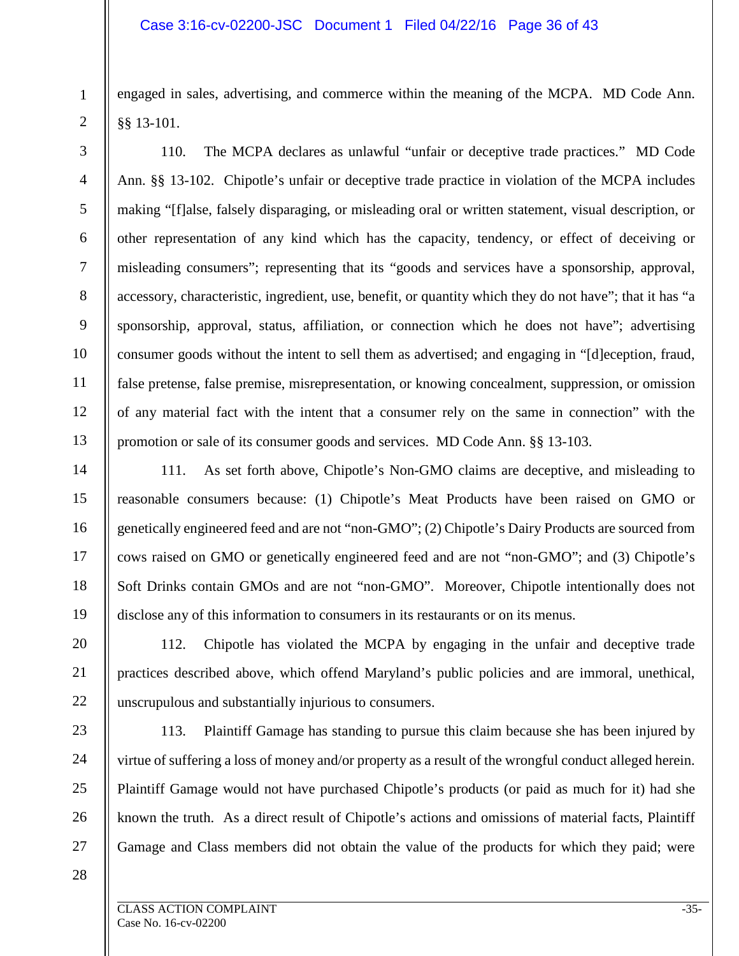engaged in sales, advertising, and commerce within the meaning of the MCPA. MD Code Ann. §§ 13-101.

110. The MCPA declares as unlawful "unfair or deceptive trade practices." MD Code Ann. §§ 13-102. Chipotle's unfair or deceptive trade practice in violation of the MCPA includes making "[f]alse, falsely disparaging, or misleading oral or written statement, visual description, or other representation of any kind which has the capacity, tendency, or effect of deceiving or misleading consumers"; representing that its "goods and services have a sponsorship, approval, accessory, characteristic, ingredient, use, benefit, or quantity which they do not have"; that it has "a sponsorship, approval, status, affiliation, or connection which he does not have"; advertising consumer goods without the intent to sell them as advertised; and engaging in "[d]eception, fraud, false pretense, false premise, misrepresentation, or knowing concealment, suppression, or omission of any material fact with the intent that a consumer rely on the same in connection" with the promotion or sale of its consumer goods and services. MD Code Ann. §§ 13-103.

111. As set forth above, Chipotle's Non-GMO claims are deceptive, and misleading to reasonable consumers because: (1) Chipotle's Meat Products have been raised on GMO or genetically engineered feed and are not "non-GMO"; (2) Chipotle's Dairy Products are sourced from cows raised on GMO or genetically engineered feed and are not "non-GMO"; and (3) Chipotle's Soft Drinks contain GMOs and are not "non-GMO". Moreover, Chipotle intentionally does not disclose any of this information to consumers in its restaurants or on its menus.

112. Chipotle has violated the MCPA by engaging in the unfair and deceptive trade practices described above, which offend Maryland's public policies and are immoral, unethical, unscrupulous and substantially injurious to consumers.

1

2

3

4

5

6

7

8

9

10

11

12

13

14

15

16

17

18

19

20

21

22

113. Plaintiff Gamage has standing to pursue this claim because she has been injured by virtue of suffering a loss of money and/or property as a result of the wrongful conduct alleged herein. Plaintiff Gamage would not have purchased Chipotle's products (or paid as much for it) had she known the truth. As a direct result of Chipotle's actions and omissions of material facts, Plaintiff Gamage and Class members did not obtain the value of the products for which they paid; were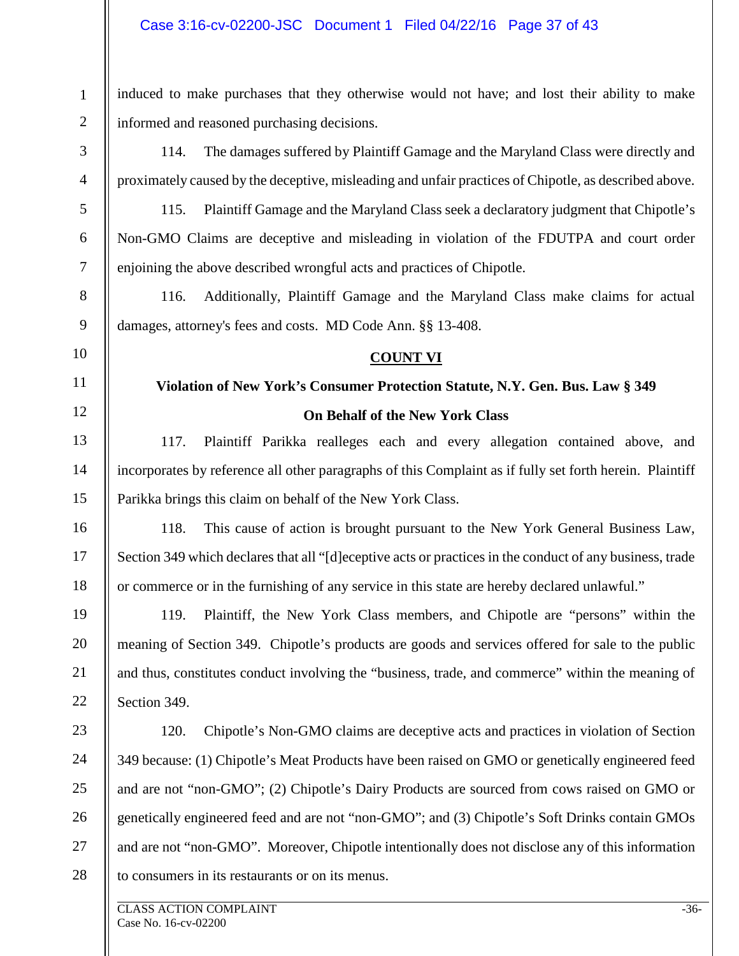#### Case 3:16-cv-02200-JSC Document 1 Filed 04/22/16 Page 37 of 43

induced to make purchases that they otherwise would not have; and lost their ability to make informed and reasoned purchasing decisions.

1

2

3

4

5

6

7

8

9

10

11

12

13

14

15

16

17

18

19

20

21

22

114. The damages suffered by Plaintiff Gamage and the Maryland Class were directly and proximately caused by the deceptive, misleading and unfair practices of Chipotle, as described above.

115. Plaintiff Gamage and the Maryland Class seek a declaratory judgment that Chipotle's Non-GMO Claims are deceptive and misleading in violation of the FDUTPA and court order enjoining the above described wrongful acts and practices of Chipotle.

116. Additionally, Plaintiff Gamage and the Maryland Class make claims for actual damages, attorney's fees and costs. MD Code Ann. §§ 13-408.

#### **COUNT VI**

# **Violation of New York's Consumer Protection Statute, N.Y. Gen. Bus. Law § 349 On Behalf of the New York Class**

117. Plaintiff Parikka realleges each and every allegation contained above, and incorporates by reference all other paragraphs of this Complaint as if fully set forth herein. Plaintiff Parikka brings this claim on behalf of the New York Class.

118. This cause of action is brought pursuant to the New York General Business Law, Section 349 which declares that all "[d]eceptive acts or practices in the conduct of any business, trade or commerce or in the furnishing of any service in this state are hereby declared unlawful."

119. Plaintiff, the New York Class members, and Chipotle are "persons" within the meaning of Section 349. Chipotle's products are goods and services offered for sale to the public and thus, constitutes conduct involving the "business, trade, and commerce" within the meaning of Section 349.

23 24 25 26 27 28 120. Chipotle's Non-GMO claims are deceptive acts and practices in violation of Section 349 because: (1) Chipotle's Meat Products have been raised on GMO or genetically engineered feed and are not "non-GMO"; (2) Chipotle's Dairy Products are sourced from cows raised on GMO or genetically engineered feed and are not "non-GMO"; and (3) Chipotle's Soft Drinks contain GMOs and are not "non-GMO". Moreover, Chipotle intentionally does not disclose any of this information to consumers in its restaurants or on its menus.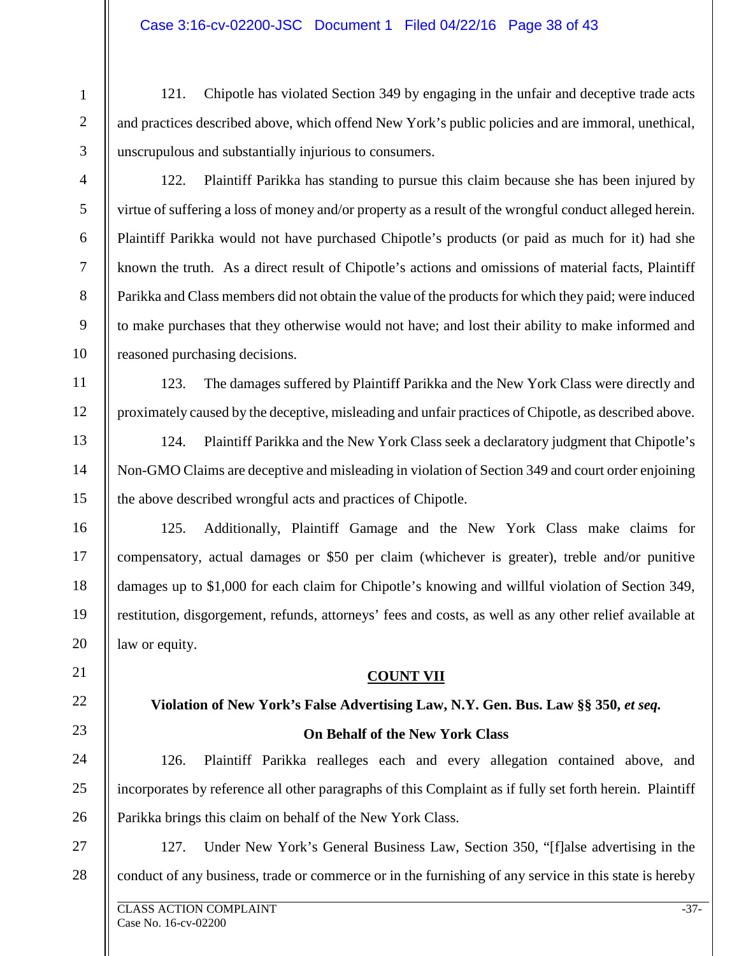121. Chipotle has violated Section 349 by engaging in the unfair and deceptive trade acts and practices described above, which offend New York's public policies and are immoral, unethical, unscrupulous and substantially injurious to consumers.

3 4

5

6

7

8

9

10

11

12

13

14

15

16

17

18

19

20

21

22

23

24

25

26

1

2

122. Plaintiff Parikka has standing to pursue this claim because she has been injured by virtue of suffering a loss of money and/or property as a result of the wrongful conduct alleged herein. Plaintiff Parikka would not have purchased Chipotle's products (or paid as much for it) had she known the truth. As a direct result of Chipotle's actions and omissions of material facts, Plaintiff Parikka and Class members did not obtain the value of the products for which they paid; were induced to make purchases that they otherwise would not have; and lost their ability to make informed and reasoned purchasing decisions.

123. The damages suffered by Plaintiff Parikka and the New York Class were directly and proximately caused by the deceptive, misleading and unfair practices of Chipotle, as described above.

124. Plaintiff Parikka and the New York Class seek a declaratory judgment that Chipotle's Non-GMO Claims are deceptive and misleading in violation of Section 349 and court order enjoining the above described wrongful acts and practices of Chipotle.

125. Additionally, Plaintiff Gamage and the New York Class make claims for compensatory, actual damages or \$50 per claim (whichever is greater), treble and/or punitive damages up to \$1,000 for each claim for Chipotle's knowing and willful violation of Section 349, restitution, disgorgement, refunds, attorneys' fees and costs, as well as any other relief available at law or equity.

### **COUNT VII**

# **Violation of New York's False Advertising Law, N.Y. Gen. Bus. Law §§ 350,** *et seq.* **On Behalf of the New York Class**

126. Plaintiff Parikka realleges each and every allegation contained above, and incorporates by reference all other paragraphs of this Complaint as if fully set forth herein. Plaintiff Parikka brings this claim on behalf of the New York Class.

27 28 127. Under New York's General Business Law, Section 350, "[f]alse advertising in the conduct of any business, trade or commerce or in the furnishing of any service in this state is hereby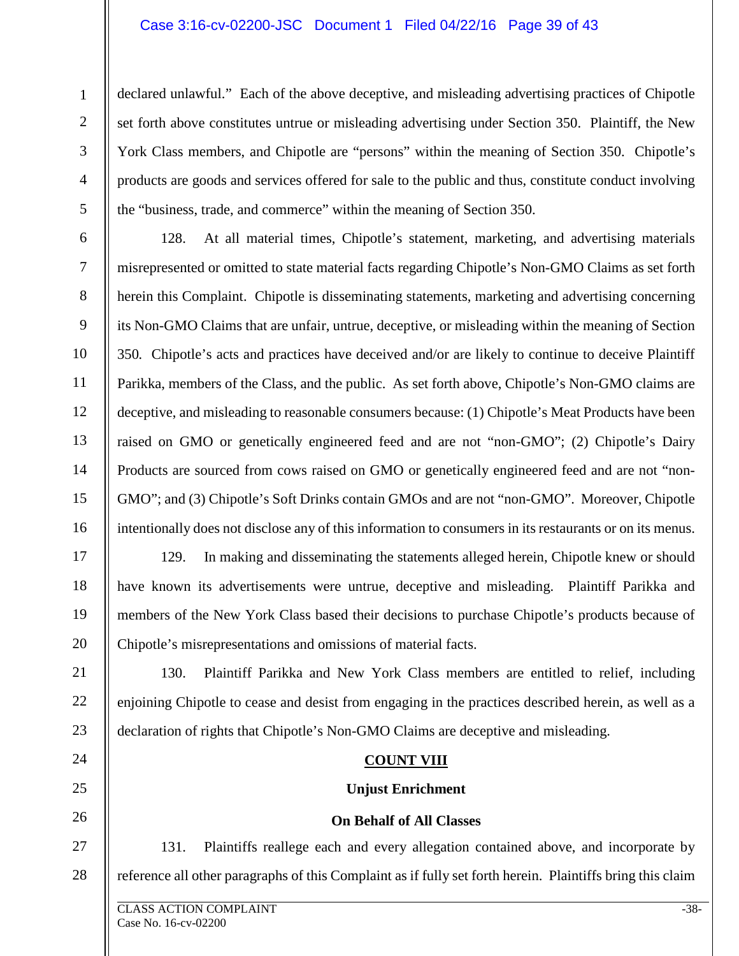#### Case 3:16-cv-02200-JSC Document 1 Filed 04/22/16 Page 39 of 43

declared unlawful." Each of the above deceptive, and misleading advertising practices of Chipotle set forth above constitutes untrue or misleading advertising under Section 350. Plaintiff, the New York Class members, and Chipotle are "persons" within the meaning of Section 350. Chipotle's products are goods and services offered for sale to the public and thus, constitute conduct involving the "business, trade, and commerce" within the meaning of Section 350.

6 7 8 9 10 12 13 14 15 16 128. At all material times, Chipotle's statement, marketing, and advertising materials misrepresented or omitted to state material facts regarding Chipotle's Non-GMO Claims as set forth herein this Complaint. Chipotle is disseminating statements, marketing and advertising concerning its Non-GMO Claims that are unfair, untrue, deceptive, or misleading within the meaning of Section 350*.* Chipotle's acts and practices have deceived and/or are likely to continue to deceive Plaintiff Parikka, members of the Class, and the public. As set forth above, Chipotle's Non-GMO claims are deceptive, and misleading to reasonable consumers because: (1) Chipotle's Meat Products have been raised on GMO or genetically engineered feed and are not "non-GMO"; (2) Chipotle's Dairy Products are sourced from cows raised on GMO or genetically engineered feed and are not "non-GMO"; and (3) Chipotle's Soft Drinks contain GMOs and are not "non-GMO". Moreover, Chipotle intentionally does not disclose any of this information to consumers in its restaurants or on its menus.

129. In making and disseminating the statements alleged herein, Chipotle knew or should have known its advertisements were untrue, deceptive and misleading. Plaintiff Parikka and members of the New York Class based their decisions to purchase Chipotle's products because of Chipotle's misrepresentations and omissions of material facts.

22 23 130. Plaintiff Parikka and New York Class members are entitled to relief, including enjoining Chipotle to cease and desist from engaging in the practices described herein, as well as a declaration of rights that Chipotle's Non-GMO Claims are deceptive and misleading.

#### **COUNT VIII**

#### **Unjust Enrichment**

#### **On Behalf of All Classes**

27 28 131. Plaintiffs reallege each and every allegation contained above, and incorporate by reference all other paragraphs of this Complaint as if fully set forth herein. Plaintiffs bring this claim

1

2

3

4

5

11

17

18

19

20

21

24

25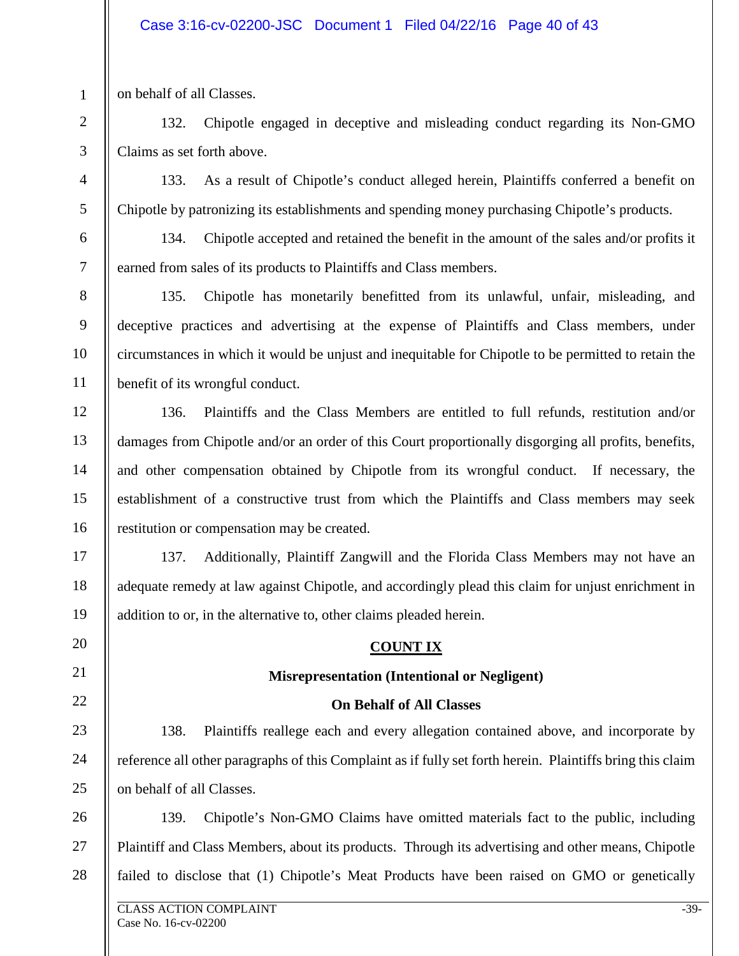on behalf of all Classes.

1

2

3

4

5

6

7

8

9

10

11

12

13

14

15

16

17

19

20

21

22

23

24

25

132. Chipotle engaged in deceptive and misleading conduct regarding its Non-GMO Claims as set forth above.

133. As a result of Chipotle's conduct alleged herein, Plaintiffs conferred a benefit on Chipotle by patronizing its establishments and spending money purchasing Chipotle's products.

134. Chipotle accepted and retained the benefit in the amount of the sales and/or profits it earned from sales of its products to Plaintiffs and Class members.

135. Chipotle has monetarily benefitted from its unlawful, unfair, misleading, and deceptive practices and advertising at the expense of Plaintiffs and Class members, under circumstances in which it would be unjust and inequitable for Chipotle to be permitted to retain the benefit of its wrongful conduct.

136. Plaintiffs and the Class Members are entitled to full refunds, restitution and/or damages from Chipotle and/or an order of this Court proportionally disgorging all profits, benefits, and other compensation obtained by Chipotle from its wrongful conduct. If necessary, the establishment of a constructive trust from which the Plaintiffs and Class members may seek restitution or compensation may be created.

18 137. Additionally, Plaintiff Zangwill and the Florida Class Members may not have an adequate remedy at law against Chipotle, and accordingly plead this claim for unjust enrichment in addition to or, in the alternative to, other claims pleaded herein.

# **COUNT IX**

# **Misrepresentation (Intentional or Negligent)**

# **On Behalf of All Classes**

138. Plaintiffs reallege each and every allegation contained above, and incorporate by reference all other paragraphs of this Complaint as if fully set forth herein. Plaintiffs bring this claim on behalf of all Classes.

26 27 28 139. Chipotle's Non-GMO Claims have omitted materials fact to the public, including Plaintiff and Class Members, about its products. Through its advertising and other means, Chipotle failed to disclose that (1) Chipotle's Meat Products have been raised on GMO or genetically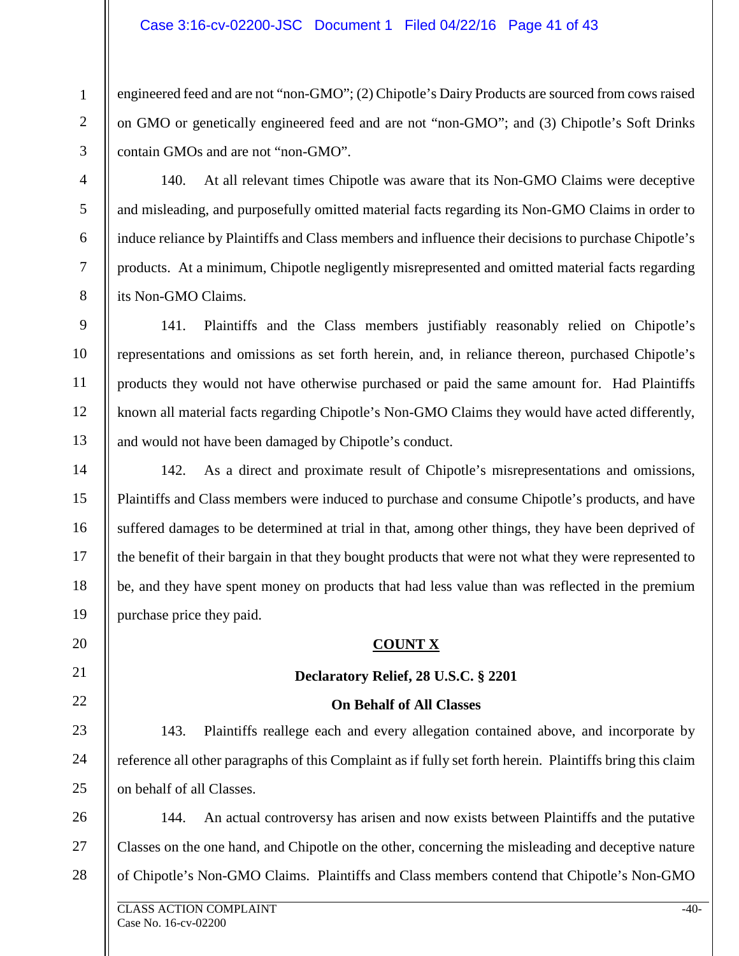#### Case 3:16-cv-02200-JSC Document 1 Filed 04/22/16 Page 41 of 43

engineered feed and are not "non-GMO"; (2) Chipotle's Dairy Products are sourced from cows raised on GMO or genetically engineered feed and are not "non-GMO"; and (3) Chipotle's Soft Drinks contain GMOs and are not "non-GMO".

3 4

1

2

5

6

7

8

9

10

11

12

13

20

21

22

23

24

25

140. At all relevant times Chipotle was aware that its Non-GMO Claims were deceptive and misleading, and purposefully omitted material facts regarding its Non-GMO Claims in order to induce reliance by Plaintiffs and Class members and influence their decisions to purchase Chipotle's products. At a minimum, Chipotle negligently misrepresented and omitted material facts regarding its Non-GMO Claims.

141. Plaintiffs and the Class members justifiably reasonably relied on Chipotle's representations and omissions as set forth herein, and, in reliance thereon, purchased Chipotle's products they would not have otherwise purchased or paid the same amount for. Had Plaintiffs known all material facts regarding Chipotle's Non-GMO Claims they would have acted differently, and would not have been damaged by Chipotle's conduct.

14 15 16 17 18 19 142. As a direct and proximate result of Chipotle's misrepresentations and omissions, Plaintiffs and Class members were induced to purchase and consume Chipotle's products, and have suffered damages to be determined at trial in that, among other things, they have been deprived of the benefit of their bargain in that they bought products that were not what they were represented to be, and they have spent money on products that had less value than was reflected in the premium purchase price they paid.

#### **COUNT X**

#### **Declaratory Relief, 28 U.S.C. § 2201**

#### **On Behalf of All Classes**

143. Plaintiffs reallege each and every allegation contained above, and incorporate by reference all other paragraphs of this Complaint as if fully set forth herein. Plaintiffs bring this claim on behalf of all Classes.

26 27 28 144. An actual controversy has arisen and now exists between Plaintiffs and the putative Classes on the one hand, and Chipotle on the other, concerning the misleading and deceptive nature of Chipotle's Non-GMO Claims. Plaintiffs and Class members contend that Chipotle's Non-GMO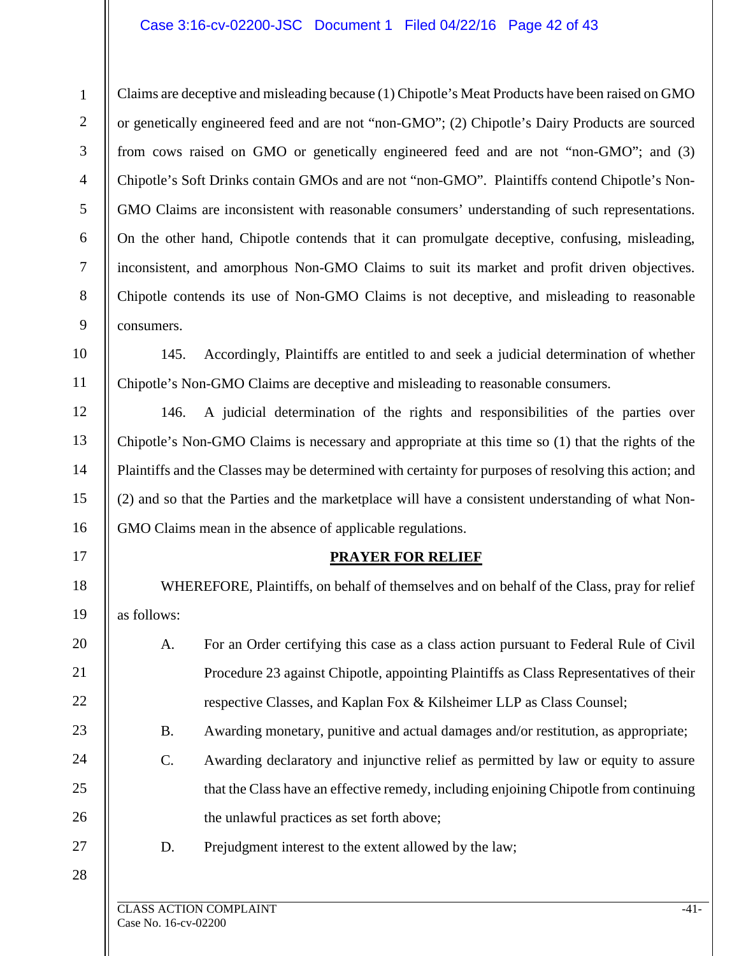#### Case 3:16-cv-02200-JSC Document 1 Filed 04/22/16 Page 42 of 43

9 Claims are deceptive and misleading because (1) Chipotle's Meat Products have been raised on GMO or genetically engineered feed and are not "non-GMO"; (2) Chipotle's Dairy Products are sourced from cows raised on GMO or genetically engineered feed and are not "non-GMO"; and (3) Chipotle's Soft Drinks contain GMOs and are not "non-GMO". Plaintiffs contend Chipotle's Non-GMO Claims are inconsistent with reasonable consumers' understanding of such representations. On the other hand, Chipotle contends that it can promulgate deceptive, confusing, misleading, inconsistent, and amorphous Non-GMO Claims to suit its market and profit driven objectives. Chipotle contends its use of Non-GMO Claims is not deceptive, and misleading to reasonable consumers.

145. Accordingly, Plaintiffs are entitled to and seek a judicial determination of whether Chipotle's Non-GMO Claims are deceptive and misleading to reasonable consumers.

146. A judicial determination of the rights and responsibilities of the parties over Chipotle's Non-GMO Claims is necessary and appropriate at this time so (1) that the rights of the Plaintiffs and the Classes may be determined with certainty for purposes of resolving this action; and (2) and so that the Parties and the marketplace will have a consistent understanding of what Non-GMO Claims mean in the absence of applicable regulations.

### **PRAYER FOR RELIEF**

WHEREFORE, Plaintiffs, on behalf of themselves and on behalf of the Class, pray for relief as follows:

- A. For an Order certifying this case as a class action pursuant to Federal Rule of Civil Procedure 23 against Chipotle, appointing Plaintiffs as Class Representatives of their respective Classes, and Kaplan Fox & Kilsheimer LLP as Class Counsel;
	- B. Awarding monetary, punitive and actual damages and/or restitution, as appropriate;
- C. Awarding declaratory and injunctive relief as permitted by law or equity to assure that the Class have an effective remedy, including enjoining Chipotle from continuing the unlawful practices as set forth above;
- 27 28

1

2

3

4

5

6

7

8

10

11

12

13

14

15

16

17

18

19

20

21

22

23

24

25

26

D. Prejudgment interest to the extent allowed by the law;